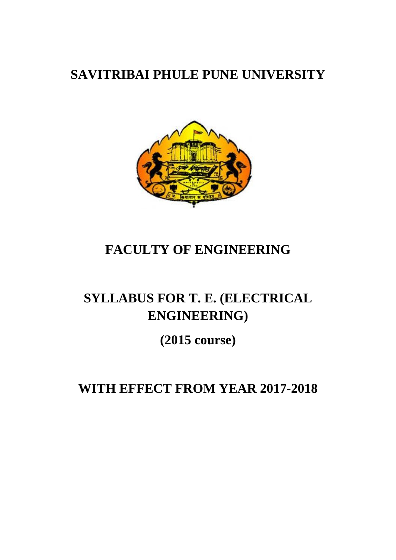# **SAVITRIBAI PHULE PUNE UNIVERSITY**



# **FACULTY OF ENGINEERING**

# **SYLLABUS FOR T. E. (ELECTRICAL ENGINEERING)**

**(2015 course)**

**WITH EFFECT FROM YEAR 2017-2018**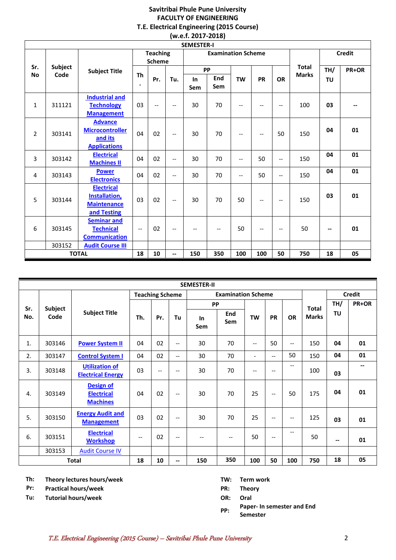#### **Savitribai Phule Pune University FACULTY OF ENGINEERING T.E. Electrical Engineering (2015 Course) (w.e.f. 2017-2018)**

|                | <b>SEMESTER-I</b> |                                                                                 |                                  |                          |                          |                           |            |                                     |                          |                               |               |                          |       |
|----------------|-------------------|---------------------------------------------------------------------------------|----------------------------------|--------------------------|--------------------------|---------------------------|------------|-------------------------------------|--------------------------|-------------------------------|---------------|--------------------------|-------|
|                |                   |                                                                                 | <b>Teaching</b><br><b>Scheme</b> |                          |                          | <b>Examination Scheme</b> |            |                                     |                          |                               | <b>Credit</b> |                          |       |
| Sr.            | <b>Subject</b>    | <b>Subject Title</b>                                                            |                                  |                          |                          |                           | <b>PP</b>  |                                     |                          |                               | <b>Total</b>  | TH/                      | PR+OR |
| <b>No</b>      | Code              |                                                                                 | <b>Th</b><br>$\bullet$           | Pr.                      | Tu.                      | In<br>Sem                 | End<br>Sem | <b>TW</b>                           | <b>PR</b>                | <b>OR</b>                     | <b>Marks</b>  | TU                       |       |
| $\mathbf{1}$   | 311121            | <b>Industrial and</b><br><b>Technology</b><br><b>Management</b>                 | 03                               | $\overline{\phantom{a}}$ | $-$                      | 30                        | 70         | $\overline{\phantom{a}}$            | --                       | $\qquad \qquad -$             | 100           | 03                       |       |
| $\overline{2}$ | 303141            | <b>Advance</b><br><b>Microcontroller</b><br>and its<br><b>Applications</b>      | 04                               | 02                       | $\overline{\phantom{a}}$ | 30                        | 70         | $\qquad \qquad -$                   | $\overline{\phantom{a}}$ | 50                            | 150           | 04                       | 01    |
| 3              | 303142            | <b>Electrical</b><br><b>Machines II</b>                                         | 04                               | 02                       | $\overline{\phantom{a}}$ | 30                        | 70         | $\overline{\phantom{a}}$            | 50                       | $\overline{\phantom{a}}$      | 150           | 04                       | 01    |
| 4              | 303143            | <b>Power</b><br><b>Electronics</b>                                              | 04                               | 02                       | $\overline{\phantom{m}}$ | 30                        | 70         | $\hspace{0.05cm}$ $\hspace{0.05cm}$ | 50                       | $\hspace{0.05cm} \textbf{--}$ | 150           | 04                       | 01    |
| 5              | 303144            | <b>Electrical</b><br><b>Installation</b> ,<br><b>Maintenance</b><br>and Testing | 03                               | 02                       | $\overline{\phantom{a}}$ | 30                        | 70         | 50                                  | $-$                      | $\overline{\phantom{m}}$      | 150           | 03                       | 01    |
| 6              | 303145            | <b>Seminar and</b><br><b>Technical</b><br><b>Communication</b>                  | $\overline{\phantom{a}}$         | 02                       | $\overline{\phantom{a}}$ | $-$                       | $-$        | 50                                  | $-$                      | $\overline{\phantom{m}}$      | 50            | $\overline{\phantom{a}}$ | 01    |
|                | 303152            | <b>Audit Course III</b>                                                         |                                  |                          |                          |                           |            |                                     |                          |                               |               |                          |       |
|                |                   | <b>TOTAL</b>                                                                    | 18                               | 10                       | --                       | 150                       | 350        | 100                                 | 100                      | 50                            | 750           | 18                       | 05    |

|     | <b>SEMESTER-II</b> |                                                          |                        |     |       |           |                           |                          |                   |           |              |           |               |
|-----|--------------------|----------------------------------------------------------|------------------------|-----|-------|-----------|---------------------------|--------------------------|-------------------|-----------|--------------|-----------|---------------|
|     |                    |                                                          | <b>Teaching Scheme</b> |     |       |           | <b>Examination Scheme</b> |                          |                   |           |              |           | <b>Credit</b> |
| Sr. | <b>Subject</b>     |                                                          |                        |     |       | <b>PP</b> |                           |                          |                   |           | <b>Total</b> | TH/       | PR+OR         |
| No. | Code               | <b>Subject Title</b>                                     | Th.                    | Pr. | Tu    | In<br>Sem | <b>End</b><br>Sem         | <b>TW</b>                | <b>PR</b>         | <b>OR</b> | <b>Marks</b> | <b>TU</b> |               |
| 1.  | 303146             | <b>Power System II</b>                                   | 04                     | 02  | $-$   | 30        | 70                        | $-$                      | 50                | $-$       | 150          | 04        | 01            |
| 2.  | 303147             | <b>Control System I</b>                                  | 04                     | 02  | $- -$ | 30        | 70                        | $\overline{\phantom{a}}$ | $- -$             | 50        | 150          | 04        | 01            |
| 3.  | 303148             | <b>Utilization of</b><br><b>Electrical Energy</b>        | 03                     | $-$ | $-$   | 30        | 70                        | --                       | $\qquad \qquad -$ | $-$       | 100          | 03        | --            |
| 4.  | 303149             | <b>Design of</b><br><b>Electrical</b><br><b>Machines</b> | 04                     | 02  | $-$   | 30        | 70                        | 25                       | $\qquad \qquad -$ | 50        | 175          | 04        | 01            |
| 5.  | 303150             | <b>Energy Audit and</b><br><b>Management</b>             | 03                     | 02  | $-$   | 30        | 70                        | 25                       | $-$               | $-$       | 125          | 03        | 01            |
| 6.  | 303151             | <b>Electrical</b><br><b>Workshop</b>                     | $-$                    | 02  | $-$   | $-$       | $-$                       | 50                       | $\qquad \qquad -$ | --        | 50           | $-$       | 01            |
|     | 303153             | <b>Audit Course IV</b>                                   |                        |     |       |           |                           |                          |                   |           |              |           |               |
|     |                    | <b>Total</b>                                             | 18                     | 10  | --    | 150       | 350                       | 100                      | 50                | 100       | 750          | 18        | 05            |

**Th: Theory lectures hours/week TW: Term work**

**Pr: Practical hours/week PR: Theory**

**Tu: Tutorial hours/week OR: Oral**

- 
- 

**PP: Paper- In semester and End Semester**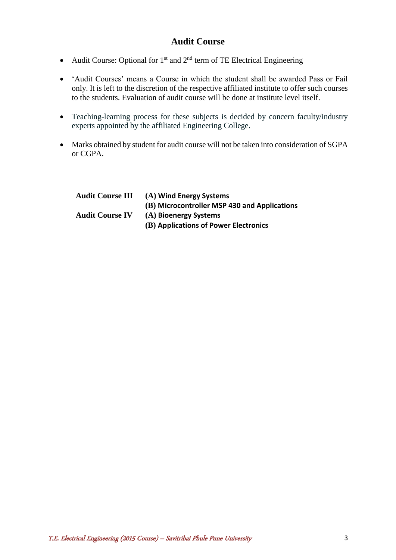## **Audit Course**

- Audit Course: Optional for  $1<sup>st</sup>$  and  $2<sup>nd</sup>$  term of TE Electrical Engineering
- 'Audit Courses' means a Course in which the student shall be awarded Pass or Fail only. It is left to the discretion of the respective affiliated institute to offer such courses to the students. Evaluation of audit course will be done at institute level itself.
- Teaching-learning process for these subjects is decided by concern faculty/industry experts appointed by the affiliated Engineering College.
- Marks obtained by student for audit course will not be taken into consideration of SGPA or CGPA.

| <b>Audit Course III</b> | (A) Wind Energy Systems                      |
|-------------------------|----------------------------------------------|
|                         | (B) Microcontroller MSP 430 and Applications |
| <b>Audit Course IV</b>  | (A) Bioenergy Systems                        |
|                         | (B) Applications of Power Electronics        |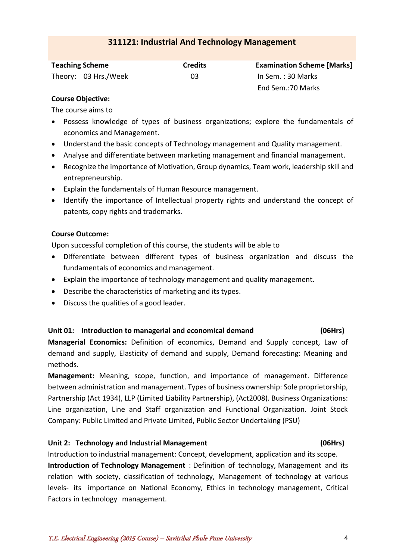## **311121: Industrial And Technology Management**

<span id="page-3-0"></span>

| <b>Teaching Scheme</b> | <b>Credits</b> | <b>Examination Scheme [Marks]</b> |  |  |
|------------------------|----------------|-----------------------------------|--|--|
| Theory: 03 Hrs./Week   | 03             | In Sem. : 30 Marks                |  |  |
|                        |                | End Sem.: 70 Marks                |  |  |

#### **Course Objective:**

The course aims to

- Possess knowledge of types of business organizations; explore the fundamentals of economics and Management.
- Understand the basic concepts of Technology management and Quality management.
- Analyse and differentiate between marketing management and financial management.
- Recognize the importance of Motivation, Group dynamics, Team work, leadership skill and entrepreneurship.
- Explain the fundamentals of Human Resource management.
- Identify the importance of Intellectual property rights and understand the concept of patents, copy rights and trademarks.

### **Course Outcome:**

Upon successful completion of this course, the students will be able to

- Differentiate between different types of business organization and discuss the fundamentals of economics and management.
- Explain the importance of technology management and quality management.
- Describe the characteristics of marketing and its types.
- Discuss the qualities of a good leader.

## **Unit 01: Introduction to managerial and economical demand (06Hrs)**

**Managerial Economics:** Definition of economics, Demand and Supply concept, Law of demand and supply, Elasticity of demand and supply, Demand forecasting: Meaning and methods.

**Management:** Meaning, scope, function, and importance of management. Difference between administration and management. Types of business ownership: Sole proprietorship, Partnership (Act 1934), LLP (Limited Liability Partnership), (Act2008). Business Organizations: Line organization, Line and Staff organization and Functional Organization. Joint Stock Company: Public Limited and Private Limited, Public Sector Undertaking (PSU)

## **Unit 2: Technology and Industrial Management (06Hrs)**

Introduction to industrial management: Concept, development, application and its scope. **Introduction of Technology Management** : Definition of technology, Management and its relation with society, classification of technology, Management of technology at various levels- its importance on National Economy, Ethics in technology management, Critical Factors in technology management.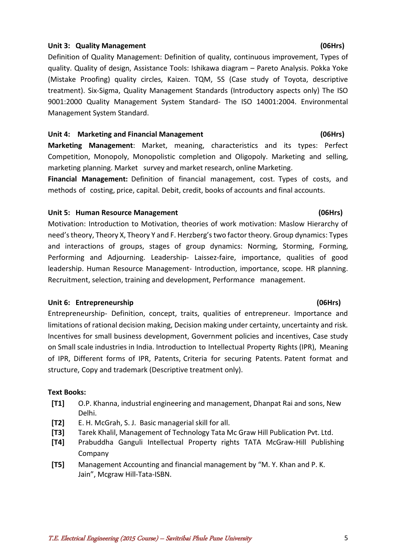#### Unit 3: Quality Management **(06Hrs)** (06Hrs)

Definition of Quality Management: Definition of quality, continuous improvement, Types of quality. Quality of design, Assistance Tools: Ishikawa diagram – Pareto Analysis. Pokka Yoke (Mistake Proofing) quality circles, Kaizen. TQM, 5S (Case study of Toyota, descriptive treatment). Six-Sigma, Quality Management Standards (Introductory aspects only) The ISO 9001:2000 Quality Management System Standard- The ISO 14001:2004. Environmental Management System Standard.

#### **Unit 4: Marketing and Financial Management (06Hrs)**

**Marketing Management**: Market, meaning, characteristics and its types: Perfect Competition, Monopoly, Monopolistic completion and Oligopoly. Marketing and selling, marketing planning. Market survey and market research, online Marketing.

**Financial Management:** Definition of financial management, cost. Types of costs, and methods of costing, price, capital. Debit, credit, books of accounts and final accounts.

#### Unit 5: Human Resource Management **Container and Container and Container (06Hrs)**

Motivation: Introduction to Motivation, theories of work motivation: Maslow Hierarchy of need's theory, Theory X, Theory Y and F. Herzberg's two factor theory. Group dynamics: Types and interactions of groups, stages of group dynamics: Norming, Storming, Forming, Performing and Adjourning. Leadership- Laissez-faire, importance, qualities of good leadership. Human Resource Management- Introduction, importance, scope. HR planning. Recruitment, selection, training and development, Performance management.

#### **Unit 6: Entrepreneurship (06Hrs)**

Entrepreneurship- Definition, concept, traits, qualities of entrepreneur. Importance and limitations of rational decision making, Decision making under certainty, uncertainty and risk. Incentives for small business development, Government policies and incentives, Case study on Small scale industries in India. Introduction to Intellectual Property Rights (IPR), Meaning of IPR, Different forms of IPR, Patents, Criteria for securing Patents. Patent format and structure, Copy and trademark (Descriptive treatment only).

#### **Text Books:**

- **[T1]** O.P. Khanna, industrial engineering and management, Dhanpat Rai and sons, New Delhi.
- **[T2]** E. H. McGrah, S. J. Basic managerial skill for all.
- **[T3]** Tarek Khalil, Management of Technology Tata Mc Graw Hill Publication Pvt. Ltd.
- **[T4]** Prabuddha Ganguli Intellectual Property rights TATA McGraw-Hill Publishing Company
- **[T5]** Management Accounting and financial management by "M. Y. Khan and P. K. Jain", Mcgraw Hill-Tata-ISBN.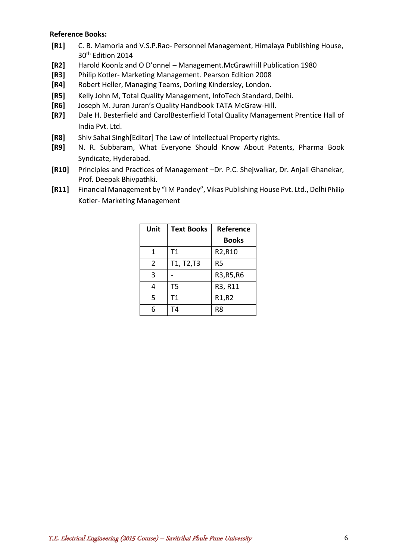#### **Reference Books:**

- **[R1]** C. B. Mamoria and V.S.P.Rao- Personnel Management, Himalaya Publishing House, 30th Edition 2014
- **[R2]** Harold Koonlz and O D'onnel Management.McGrawHill Publication 1980
- **[R3]** Philip Kotler- Marketing Management. Pearson Edition 2008
- **[R4]** Robert Heller, Managing Teams, Dorling Kindersley, London.
- **[R5]** Kelly John M, Total Quality Management, InfoTech Standard, Delhi.
- **[R6]** Joseph M. Juran Juran's Quality Handbook TATA McGraw-Hill.
- **[R7]** Dale H. Besterfield and CarolBesterfield Total Quality Management Prentice Hall of India Pvt. Ltd.
- **[R8]** Shiv Sahai Singh[Editor] The Law of Intellectual Property rights.
- **[R9]** N. R. Subbaram, What Everyone Should Know About Patents, Pharma Book Syndicate, Hyderabad.
- **[R10]** Principles and Practices of Management –Dr. P.C. Shejwalkar, Dr. Anjali Ghanekar, Prof. Deepak Bhivpathki.
- **[R11]** Financial Management by "I M Pandey", Vikas Publishing House Pvt. Ltd., Delhi Philip Kotler- Marketing Management

| Unit | <b>Text Books</b> | <b>Reference</b> |
|------|-------------------|------------------|
|      |                   | <b>Books</b>     |
| 1    | Τ1                | R2,R10           |
| 2    | T1, T2,T3         | R5               |
| 3    |                   | R3, R5, R6       |
| 4    | Т5                | R3, R11          |
| 5    | T1                | R1,R2            |
|      | T4                | R8               |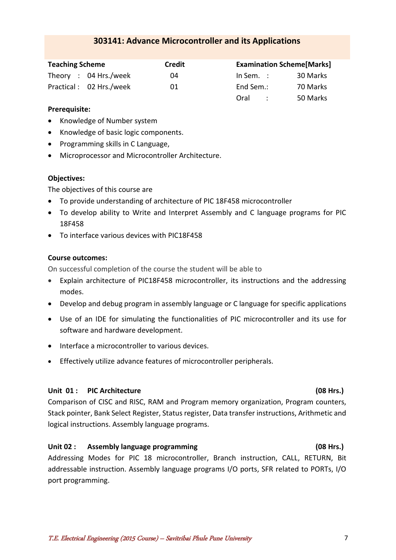#### Practical : 02 Hrs./week 01

#### **Prerequisite:**

- Knowledge of Number system
- Knowledge of basic logic components.

<span id="page-6-0"></span>**Teaching Scheme Credit** Theory : 04 Hrs./week 04

- Programming skills in C Language,
- Microprocessor and Microcontroller Architecture.

#### **Objectives:**

The objectives of this course are

- To provide understanding of architecture of PIC 18F458 microcontroller
- To develop ability to Write and Interpret Assembly and C language programs for PIC 18F458
- To interface various devices with PIC18F458

#### **Course outcomes:**

On successful completion of the course the student will be able to

- Explain architecture of PIC18F458 microcontroller, its instructions and the addressing modes.
- Develop and debug program in assembly language or C language for specific applications
- Use of an IDE for simulating the functionalities of PIC microcontroller and its use for software and hardware development.
- $\bullet$  Interface a microcontroller to various devices.
- Effectively utilize advance features of microcontroller peripherals.

#### **Unit 01 : PIC Architecture (08 Hrs.)**

Comparison of CISC and RISC, RAM and Program memory organization, Program counters, Stack pointer, Bank Select Register, Status register, Data transfer instructions, Arithmetic and logical instructions. Assembly language programs.

#### **Unit 02 : Assembly language programming (08 Hrs.)**

Addressing Modes for PIC 18 microcontroller, Branch instruction, CALL, RETURN, Bit addressable instruction. Assembly language programs I/O ports, SFR related to PORTs, I/O port programming.

## **303141: Advance Microcontroller and its Applications**

|                      | <b>Examination Scheme[Marks]</b> |
|----------------------|----------------------------------|
| In Sem. $\therefore$ | 30 Marks                         |
| End Sem.:            | 70 Marks                         |
| Oral                 | 50 Marks                         |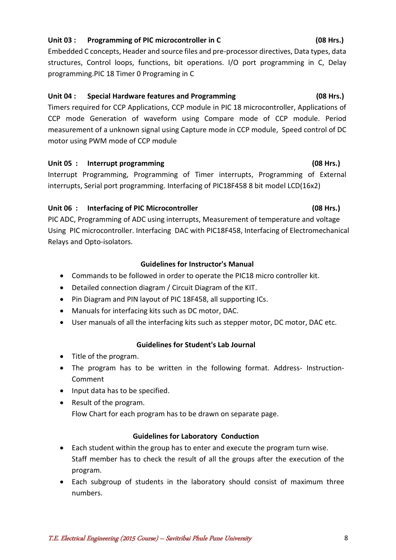#### T.E. Electrical Engineering (2015 Course) – Savitribai Phule Pune University 8

#### **Unit 03 : Programming of PIC microcontroller in C (08 Hrs.)**

Embedded C concepts, Header and source files and pre-processor directives, Data types, data structures, Control loops, functions, bit operations. I/O port programming in C, Delay programming.PIC 18 Timer 0 Programing in C

#### **Unit 04 : Special Hardware features and Programming (08 Hrs.)**

Timers required for CCP Applications, CCP module in PIC 18 microcontroller, Applications of CCP mode Generation of waveform using Compare mode of CCP module. Period measurement of a unknown signal using Capture mode in CCP module, Speed control of DC motor using PWM mode of CCP module

## Unit 05 : Interrupt programming **(08 Hrs.) (08 Hrs.)**

Interrupt Programming, Programming of Timer interrupts, Programming of External interrupts, Serial port programming. Interfacing of PIC18F458 8 bit model LCD(16x2)

## **Unit 06 : Interfacing of PIC Microcontroller (08 Hrs.)**

PIC ADC, Programming of ADC using interrupts, Measurement of temperature and voltage Using PIC microcontroller. Interfacing DAC with PIC18F458, Interfacing of Electromechanical Relays and Opto-isolators.

## **Guidelines for Instructor's Manual**

- Commands to be followed in order to operate the PIC18 micro controller kit.
- Detailed connection diagram / Circuit Diagram of the KIT.
- Pin Diagram and PIN layout of PIC 18F458, all supporting ICs.
- Manuals for interfacing kits such as DC motor, DAC.
- User manuals of all the interfacing kits such as stepper motor, DC motor, DAC etc.

## **Guidelines for Student's Lab Journal**

- Title of the program.
- The program has to be written in the following format. Address- Instruction-Comment
- Input data has to be specified.
- Result of the program.

Flow Chart for each program has to be drawn on separate page.

## **Guidelines for Laboratory Conduction**

- Each student within the group has to enter and execute the program turn wise. Staff member has to check the result of all the groups after the execution of the program.
- Each subgroup of students in the laboratory should consist of maximum three numbers.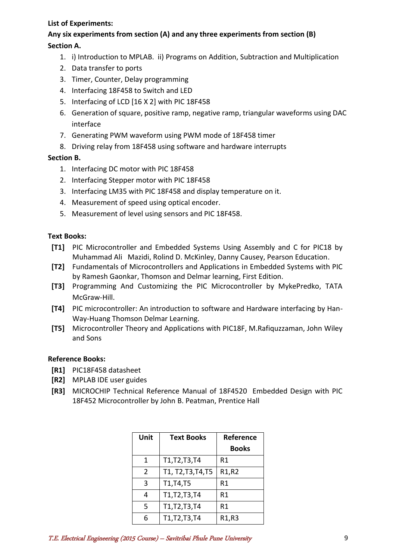### **List of Experiments:**

## **Any six experiments from section (A) and any three experiments from section (B) Section A.**

- 1. i) Introduction to MPLAB. ii) Programs on Addition, Subtraction and Multiplication
- 2. Data transfer to ports
- 3. Timer, Counter, Delay programming
- 4. Interfacing 18F458 to Switch and LED
- 5. Interfacing of LCD [16 X 2] with PIC 18F458
- 6. Generation of square, positive ramp, negative ramp, triangular waveforms using DAC interface
- 7. Generating PWM waveform using PWM mode of 18F458 timer
- 8. Driving relay from 18F458 using software and hardware interrupts

### **Section B.**

- 1. Interfacing DC motor with PIC 18F458
- 2. Interfacing Stepper motor with PIC 18F458
- 3. Interfacing LM35 with PIC 18F458 and display temperature on it.
- 4. Measurement of speed using optical encoder.
- 5. Measurement of level using sensors and PIC 18F458.

### **Text Books:**

- **[T1]** PIC Microcontroller and Embedded Systems Using Assembly and C for PIC18 by Muhammad Ali Mazidi, Rolind D. McKinley, Danny Causey, Pearson Education.
- **[T2]** Fundamentals of Microcontrollers and Applications in Embedded Systems with PIC by Ramesh Gaonkar, Thomson and Delmar learning, First Edition.
- **[T3]** Programming And Customizing the PIC Microcontroller by MykePredko, TATA McGraw-Hill.
- **[T4]** PIC microcontroller: An introduction to software and Hardware interfacing by Han-Way-Huang Thomson Delmar Learning.
- **[T5]** Microcontroller Theory and Applications with PIC18F, M.Rafiquzzaman, John Wiley and Sons

#### **Reference Books:**

- **[R1]** PIC18F458 datasheet
- **[R2]** MPLAB IDE user guides
- **[R3]** MICROCHIP Technical Reference Manual of 18F4520 Embedded Design with PIC 18F452 Microcontroller by John B. Peatman, Prentice Hall

| Unit          | <b>Text Books</b>  | Reference    |
|---------------|--------------------|--------------|
|               |                    | <b>Books</b> |
| 1             | T1, T2, T3, T4     | R1           |
| $\mathcal{P}$ | T1, T2, T3, T4, T5 | R1,R2        |
| 3             | T1, T4, T5         | R1           |
| 4             | T1, T2, T3, T4     | R1           |
| 5             | T1, T2, T3, T4     | R1           |
| 6             | T1, T2, T3, T4     | R1,R3        |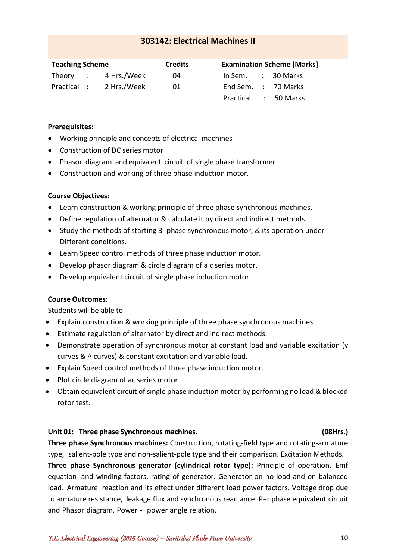## **303142: Electrical Machines II**

<span id="page-9-0"></span>

| <b>Teaching Scheme</b> |  |                      | <b>Credits</b> | <b>Examination Scheme [Marks]</b> |  |                     |  |  |
|------------------------|--|----------------------|----------------|-----------------------------------|--|---------------------|--|--|
|                        |  | Theory : 4 Hrs./Week | 04             | In Sem.                           |  | : 30 Marks          |  |  |
| Practical :            |  | 2 Hrs./Week          | 01             |                                   |  | End Sem. : 70 Marks |  |  |
|                        |  |                      |                | Practical                         |  | : 50 Marks          |  |  |

#### **Prerequisites:**

- Working principle and concepts of electrical machines
- Construction of DC series motor
- Phasor diagram and equivalent circuit of single phase transformer
- Construction and working of three phase induction motor.

#### **Course Objectives:**

- Learn construction & working principle of three phase synchronous machines.
- Define regulation of alternator & calculate it by direct and indirect methods.
- Study the methods of starting 3- phase synchronous motor, & its operation under Different conditions.
- Learn Speed control methods of three phase induction motor.
- Develop phasor diagram & circle diagram of a c series motor.
- Develop equivalent circuit of single phase induction motor.

#### **Course Outcomes:**

Students will be able to

- Explain construction & working principle of three phase synchronous machines
- Estimate regulation of alternator by direct and indirect methods.
- Demonstrate operation of synchronous motor at constant load and variable excitation (v curves &  $\wedge$  curves) & constant excitation and variable load.
- Explain Speed control methods of three phase induction motor.
- Plot circle diagram of ac series motor
- Obtain equivalent circuit of single phase induction motor by performing no load & blocked rotor test.

#### **Unit 01: Three phase Synchronous machines. (08Hrs.)**

**Three phase Synchronous machines:** Construction, rotating-field type and rotating-armature type, salient-pole type and non-salient-pole type and their comparison. Excitation Methods.

**Three phase Synchronous generator (cylindrical rotor type):** Principle of operation. Emf equation and winding factors, rating of generator. Generator on no-load and on balanced load. Armature reaction and its effect under different load power factors. Voltage drop due to armature resistance, leakage flux and synchronous reactance. Per phase equivalent circuit and Phasor diagram. Power - power angle relation.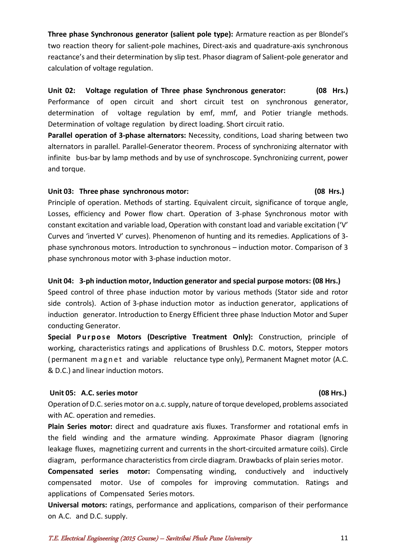**Three phase Synchronous generator (salient pole type):** Armature reaction as per Blondel's two reaction theory for salient-pole machines, Direct-axis and quadrature-axis synchronous reactance's and their determination by slip test. Phasor diagram of Salient-pole generator and calculation of voltage regulation.

**Unit 02: Voltage regulation of Three phase Synchronous generator: (08 Hrs.)** Performance of open circuit and short circuit test on synchronous generator, determination of voltage regulation by emf, mmf, and Potier triangle methods. Determination of voltage regulation by direct loading. Short circuit ratio.

**Parallel operation of 3-phase alternators:** Necessity, conditions, Load sharing between two alternators in parallel. Parallel-Generator theorem. Process of synchronizing alternator with infinite bus-bar by lamp methods and by use of synchroscope. Synchronizing current, power and torque.

### **Unit 03: Three phase synchronous motor: (08 Hrs.)**

Principle of operation. Methods of starting. Equivalent circuit, significance of torque angle, Losses, efficiency and Power flow chart. Operation of 3-phase Synchronous motor with constant excitation and variable load, Operation with constant load and variable excitation ('V' Curves and 'inverted V' curves). Phenomenon of hunting and its remedies. Applications of 3 phase synchronous motors. Introduction to synchronous – induction motor. Comparison of 3 phase synchronous motor with 3-phase induction motor.

## **Unit 04: 3-ph induction motor, Induction generator and special purpose motors: (08 Hrs.)**

Speed control of three phase induction motor by various methods (Stator side and rotor side controls). Action of 3-phase induction motor as induction generator, applications of induction generator. Introduction to Energy Efficient three phase Induction Motor and Super conducting Generator.

**Special Purpose Motors (Descriptive Treatment Only):** Construction, principle of working, characteristics ratings and applications of Brushless D.C. motors, Stepper motors ( permanent m a g n e t and variable reluctance type only), Permanent Magnet motor (A.C. & D.C.) and linear induction motors.

## **Unit 05: A.C. series motor (08 Hrs.)**

## Operation of D.C. series motor on a.c. supply, nature of torque developed, problems associated with AC. operation and remedies.

**Plain Series motor:** direct and quadrature axis fluxes. Transformer and rotational emfs in the field winding and the armature winding. Approximate Phasor diagram (Ignoring leakage fluxes, magnetizing current and currents in the short-circuited armature coils). Circle diagram, performance characteristics from circle diagram. Drawbacks of plain series motor.

**Compensated series motor:** Compensating winding, conductively and inductively compensated motor. Use of compoles for improving commutation. Ratings and applications of Compensated Series motors.

**Universal motors:** ratings, performance and applications, comparison of their performance on A.C. and D.C. supply.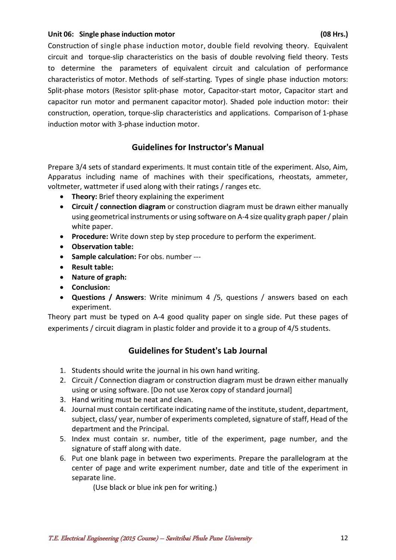### **Unit 06: Single phase induction motor (08 Hrs.)**

Construction of single phase induction motor, double field revolving theory. Equivalent circuit and torque-slip characteristics on the basis of double revolving field theory. Tests to determine the parameters of equivalent circuit and calculation of performance characteristics of motor. Methods of self-starting. Types of single phase induction motors: Split-phase motors (Resistor split-phase motor, Capacitor-start motor, Capacitor start and capacitor run motor and permanent capacitor motor). Shaded pole induction motor: their construction, operation, torque-slip characteristics and applications. Comparison of 1-phase induction motor with 3-phase induction motor.

## **Guidelines for Instructor's Manual**

Prepare 3/4 sets of standard experiments. It must contain title of the experiment. Also, Aim, Apparatus including name of machines with their specifications, rheostats, ammeter, voltmeter, wattmeter if used along with their ratings / ranges etc.

- **Theory:** Brief theory explaining the experiment
- **Circuit / connection diagram** or construction diagram must be drawn either manually using geometrical instruments or using software on A-4 size quality graph paper / plain white paper.
- **Procedure:** Write down step by step procedure to perform the experiment.
- **Observation table:**
- **Sample calculation:** For obs. number ---
- **Result table:**
- **Nature of graph:**
- **Conclusion:**
- **Questions / Answers**: Write minimum 4 /5, questions / answers based on each experiment.

Theory part must be typed on A-4 good quality paper on single side. Put these pages of experiments / circuit diagram in plastic folder and provide it to a group of 4/5 students.

## **Guidelines for Student's Lab Journal**

- 1. Students should write the journal in his own hand writing.
- 2. Circuit / Connection diagram or construction diagram must be drawn either manually using or using software. [Do not use Xerox copy of standard journal]
- 3. Hand writing must be neat and clean.
- 4. Journal must contain certificate indicating name of the institute, student, department, subject, class/ year, number of experiments completed, signature of staff, Head of the department and the Principal.
- 5. Index must contain sr. number, title of the experiment, page number, and the signature of staff along with date.
- 6. Put one blank page in between two experiments. Prepare the parallelogram at the center of page and write experiment number, date and title of the experiment in separate line.

(Use black or blue ink pen for writing.)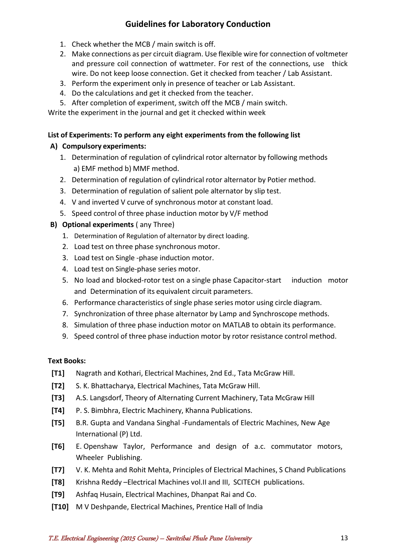## **Guidelines for Laboratory Conduction**

- 1. Check whether the MCB / main switch is off.
- 2. Make connections as per circuit diagram. Use flexible wire for connection of voltmeter and pressure coil connection of wattmeter. For rest of the connections, use thick wire. Do not keep loose connection. Get it checked from teacher / Lab Assistant.
- 3. Perform the experiment only in presence of teacher or Lab Assistant.
- 4. Do the calculations and get it checked from the teacher.
- 5. After completion of experiment, switch off the MCB / main switch.

Write the experiment in the journal and get it checked within week

## **List of Experiments: To perform any eight experiments from the following list**

## **A) Compulsory experiments:**

- 1. Determination of regulation of cylindrical rotor alternator by following methods a) EMF method b) MMF method.
- 2. Determination of regulation of cylindrical rotor alternator by Potier method.
- 3. Determination of regulation of salient pole alternator by slip test.
- 4. V and inverted V curve of synchronous motor at constant load.
- 5. Speed control of three phase induction motor by V/F method

## **B) Optional experiments** ( any Three)

- 1. Determination of Regulation of alternator by direct loading.
- 2. Load test on three phase synchronous motor.
- 3. Load test on Single -phase induction motor.
- 4. Load test on Single-phase series motor.
- 5. No load and blocked-rotor test on a single phase Capacitor-start induction motor and Determination of its equivalent circuit parameters.
- 6. Performance characteristics of single phase series motor using circle diagram.
- 7. Synchronization of three phase alternator by Lamp and Synchroscope methods.
- 8. Simulation of three phase induction motor on MATLAB to obtain its performance.
- 9. Speed control of three phase induction motor by rotor resistance control method.

## **Text Books:**

- **[T1]** Nagrath and Kothari, Electrical Machines, 2nd Ed., Tata McGraw Hill.
- **[T2]** S. K. Bhattacharya, Electrical Machines, Tata McGraw Hill.
- **[T3]** A.S. Langsdorf, Theory of Alternating Current Machinery, Tata McGraw Hill
- **[T4]** P. S. Bimbhra, Electric Machinery, Khanna Publications.
- **[T5]** B.R. Gupta and Vandana Singhal -Fundamentals of Electric Machines, New Age International (P) Ltd.
- **[T6]** E. Openshaw Taylor, Performance and design of a.c. commutator motors, Wheeler Publishing.
- **[T7]** V. K. Mehta and Rohit Mehta, Principles of Electrical Machines, S Chand Publications
- **[T8]** Krishna Reddy –Electrical Machines vol.II and III, SCITECH publications.
- **[T9]** Ashfaq Husain, Electrical Machines, Dhanpat Rai and Co.
- **[T10]** M V Deshpande, Electrical Machines, Prentice Hall of India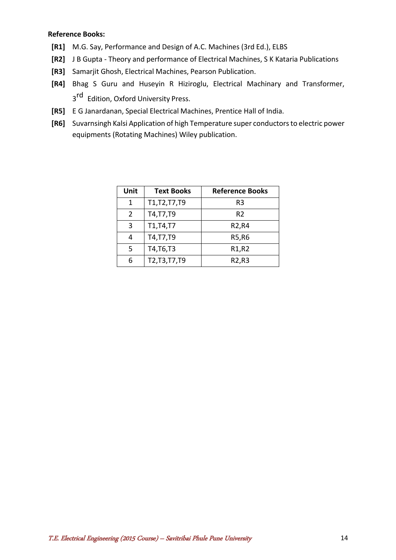#### **Reference Books:**

- **[R1]** M.G. Say, Performance and Design of A.C. Machines (3rd Ed.), ELBS
- **[R2]** J B Gupta Theory and performance of Electrical Machines, S K Kataria Publications
- **[R3]** Samarjit Ghosh, Electrical Machines, Pearson Publication.
- **[R4]** Bhag S Guru and Huseyin R Hiziroglu, Electrical Machinary and Transformer, 3<sup>rd</sup> Edition, Oxford University Press.
- **[R5]** E G Janardanan, Special Electrical Machines, Prentice Hall of India.
- **[R6]** Suvarnsingh Kalsi Application of high Temperature super conductors to electric power equipments (Rotating Machines) Wiley publication.

| Unit | <b>Text Books</b> | <b>Reference Books</b>         |
|------|-------------------|--------------------------------|
| 1    | T1, T2, T7, T9    | R3                             |
| 2    | T4, T7, T9        | R <sub>2</sub>                 |
| 3    | T1,T4,T7          | R <sub>2</sub> ,R <sub>4</sub> |
| 4    | T4, T7, T9        | R5, R6                         |
| 5    | T4, T6, T3        | R <sub>1</sub> ,R <sub>2</sub> |
| 6    | T2, T3, T7, T9    | R2,R3                          |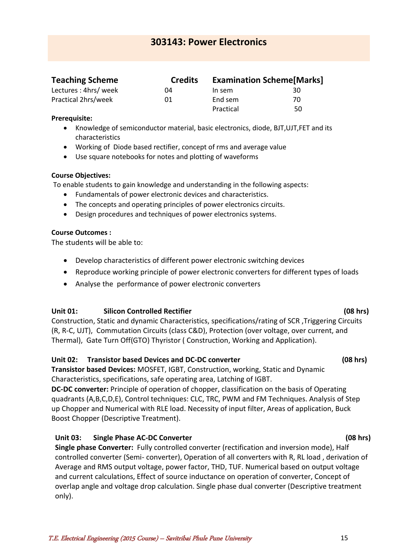<span id="page-14-0"></span>

| <b>Teaching Scheme</b> | <b>Credits</b> | <b>Examination Scheme [Marks]</b> |    |  |
|------------------------|----------------|-----------------------------------|----|--|
| Lectures: 4hrs/ week   | 04             | In sem                            | 30 |  |
| Practical 2hrs/week    | 01             | End sem                           | 70 |  |
|                        |                | Practical                         | 50 |  |

#### **Prerequisite:**

- Knowledge of semiconductor material, basic electronics, diode, BJT,UJT,FET and its characteristics
- Working of Diode based rectifier, concept of rms and average value
- Use square notebooks for notes and plotting of waveforms

### **Course Objectives:**

To enable students to gain knowledge and understanding in the following aspects:

- Fundamentals of power electronic devices and characteristics.
- The concepts and operating principles of power electronics circuits.
- Design procedures and techniques of power electronics systems.

### **Course Outcomes :**

The students will be able to:

- Develop characteristics of different power electronic switching devices
- Reproduce working principle of power electronic converters for different types of loads
- Analyse the performance of power electronic converters

## **Unit 01: Silicon Controlled Rectifier (08 hrs)**

Construction, Static and dynamic Characteristics, specifications/rating of SCR ,Triggering Circuits (R, R-C, UJT), Commutation Circuits (class C&D), Protection (over voltage, over current, and Thermal), Gate Turn Off(GTO) Thyristor ( Construction, Working and Application).

## **Unit 02: Transistor based Devices and DC-DC converter (08 hrs)**

**Transistor based Devices:** MOSFET, IGBT, Construction, working, Static and Dynamic Characteristics, specifications, safe operating area, Latching of IGBT.

**DC-DC converter:** Principle of operation of chopper, classification on the basis of Operating quadrants (A,B,C,D,E), Control techniques: CLC, TRC, PWM and FM Techniques. Analysis of Step up Chopper and Numerical with RLE load. Necessity of input filter, Areas of application, Buck Boost Chopper (Descriptive Treatment).

## **Unit 03: Single Phase AC-DC Converter (08 hrs)**

**Single phase Converter:** Fully controlled converter (rectification and inversion mode), Half controlled converter (Semi- converter), Operation of all converters with R, RL load , derivation of Average and RMS output voltage, power factor, THD, TUF. Numerical based on output voltage and current calculations, Effect of source inductance on operation of converter, Concept of overlap angle and voltage drop calculation. Single phase dual converter (Descriptive treatment only).

#### T.E. Electrical Engineering (2015 Course) – Savitribai Phule Pune University 15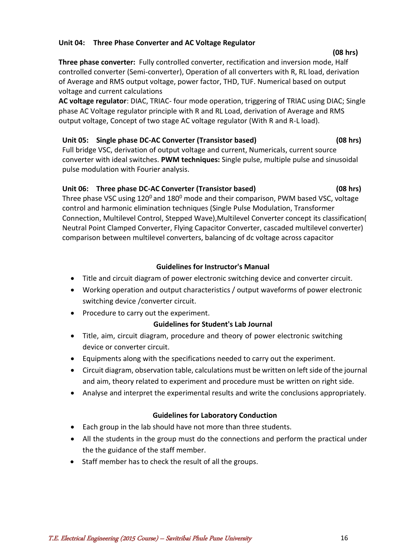### **Unit 04: Three Phase Converter and AC Voltage Regulator**

**Three phase converter:** Fully controlled converter, rectification and inversion mode, Half controlled converter (Semi-converter), Operation of all converters with R, RL load, derivation of Average and RMS output voltage, power factor, THD, TUF. Numerical based on output voltage and current calculations

**AC voltage regulator**: DIAC, TRIAC- four mode operation, triggering of TRIAC using DIAC; Single phase AC Voltage regulator principle with R and RL Load, derivation of Average and RMS output voltage, Concept of two stage AC voltage regulator (With R and R-L load).

## **Unit 05: Single phase DC-AC Converter (Transistor based) (08 hrs)**

Full bridge VSC, derivation of output voltage and current, Numericals, current source converter with ideal switches. **PWM techniques:** Single pulse, multiple pulse and sinusoidal pulse modulation with Fourier analysis.

## **Unit 06: Three phase DC-AC Converter (Transistor based) (08 hrs)**

Three phase VSC using  $120^0$  and  $180^0$  mode and their comparison, PWM based VSC, voltage control and harmonic elimination techniques (Single Pulse Modulation, Transformer Connection, Multilevel Control, Stepped Wave),Multilevel Converter concept its classification( Neutral Point Clamped Converter, Flying Capacitor Converter, cascaded multilevel converter) comparison between multilevel converters, balancing of dc voltage across capacitor

## **Guidelines for Instructor's Manual**

- Title and circuit diagram of power electronic switching device and converter circuit.
- Working operation and output characteristics / output waveforms of power electronic switching device /converter circuit.
- Procedure to carry out the experiment.

## **Guidelines for Student's Lab Journal**

- Title, aim, circuit diagram, procedure and theory of power electronic switching device or converter circuit.
- Equipments along with the specifications needed to carry out the experiment.
- Circuit diagram, observation table, calculations must be written on left side of the journal and aim, theory related to experiment and procedure must be written on right side.
- Analyse and interpret the experimental results and write the conclusions appropriately.

## **Guidelines for Laboratory Conduction**

- Each group in the lab should have not more than three students.
- All the students in the group must do the connections and perform the practical under the the guidance of the staff member.
- Staff member has to check the result of all the groups.

#### **(08 hrs)**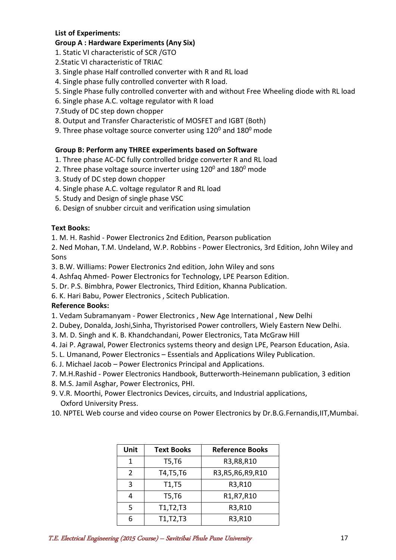## **List of Experiments:**

### **Group A : Hardware Experiments (Any Six)**

- 1. Static VI characteristic of SCR /GTO
- 2.Static VI characteristic of TRIAC
- 3. Single phase Half controlled converter with R and RL load
- 4. Single phase fully controlled converter with R load.
- 5. Single Phase fully controlled converter with and without Free Wheeling diode with RL load
- 6. Single phase A.C. voltage regulator with R load
- 7.Study of DC step down chopper
- 8. Output and Transfer Characteristic of MOSFET and IGBT (Both)
- 9. Three phase voltage source converter using  $120^{\circ}$  and  $180^{\circ}$  mode

## **Group B: Perform any THREE experiments based on Software**

- 1. Three phase AC-DC fully controlled bridge converter R and RL load
- 2. Three phase voltage source inverter using  $120^0$  and  $180^0$  mode
- 3. Study of DC step down chopper
- 4. Single phase A.C. voltage regulator R and RL load
- 5. Study and Design of single phase VSC
- 6. Design of snubber circuit and verification using simulation

## **Text Books:**

1. M. H. Rashid - Power Electronics 2nd Edition, Pearson publication

2. Ned Mohan, T.M. Undeland, W.P. Robbins - Power Electronics, 3rd Edition, John Wiley and Sons

3. B.W. Williams: Power Electronics 2nd edition, John Wiley and sons

- 4. Ashfaq Ahmed- Power Electronics for Technology, LPE Pearson Edition.
- 5. Dr. P.S. Bimbhra, Power Electronics, Third Edition, Khanna Publication.
- 6. K. Hari Babu, Power Electronics , Scitech Publication.

## **Reference Books:**

- 1. Vedam Subramanyam Power Electronics , New Age International , New Delhi
- 2. Dubey, Donalda, Joshi,Sinha, Thyristorised Power controllers, Wiely Eastern New Delhi.
- 3. M. D. Singh and K. B. Khandchandani, Power Electronics, Tata McGraw Hill
- 4. Jai P. Agrawal, Power Electronics systems theory and design LPE, Pearson Education, Asia.
- 5. L. Umanand, Power Electronics Essentials and Applications Wiley Publication.
- 6. J. Michael Jacob Power Electronics Principal and Applications.
- 7. M.H.Rashid Power Electronics Handbook, Butterworth-Heinemann publication, 3 edition
- 8. M.S. Jamil Asghar, Power Electronics, PHI.
- 9. V.R. Moorthi, Power Electronics Devices, circuits, and Industrial applications, Oxford University Press.
- 10. NPTEL Web course and video course on Power Electronics by Dr.B.G.Fernandis,IIT,Mumbai.

| Unit          | <b>Text Books</b> | <b>Reference Books</b> |
|---------------|-------------------|------------------------|
| 1             | T5,T6             | R3, R8, R10            |
| $\mathcal{P}$ | T4, T5, T6        | R3, R5, R6, R9, R10    |
| 3             | T1, T5            | R3, R10                |
| 4             | T5,T6             | R1, R7, R10            |
| 5             | T1,T2,T3          | R3, R10                |
|               | T1, T2, T3        | R3,R10                 |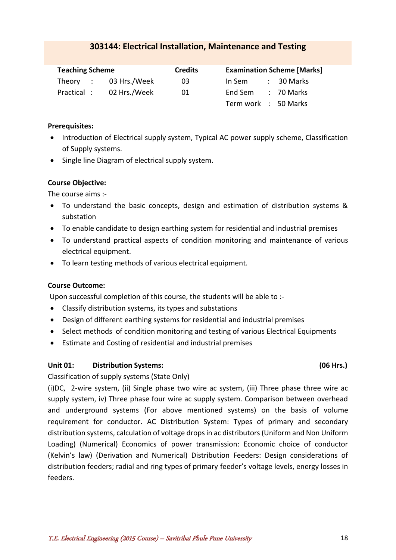## **303144: Electrical Installation, Maintenance and Testing**

<span id="page-17-0"></span>

| <b>Teaching Scheme</b> |  |                       | <b>Credits</b> |                      | <b>Examination Scheme [Marks]</b> |                 |  |
|------------------------|--|-----------------------|----------------|----------------------|-----------------------------------|-----------------|--|
|                        |  | Theory : 03 Hrs./Week | 03             | In Sem               |                                   | : 30 Marks      |  |
| Practical :            |  | 02 Hrs./Week          | 01             | End Sem              |                                   | $\div$ 70 Marks |  |
|                        |  |                       |                | Term work : 50 Marks |                                   |                 |  |

#### **Prerequisites:**

- Introduction of Electrical supply system, Typical AC power supply scheme, Classification of Supply systems.
- Single line Diagram of electrical supply system.

## **Course Objective:**

The course aims :-

- To understand the basic concepts, design and estimation of distribution systems & substation
- To enable candidate to design earthing system for residential and industrial premises
- To understand practical aspects of condition monitoring and maintenance of various electrical equipment.
- To learn testing methods of various electrical equipment.

## **Course Outcome:**

Upon successful completion of this course, the students will be able to :-

- Classify distribution systems, its types and substations
- Design of different earthing systems for residential and industrial premises
- Select methods of condition monitoring and testing of various Electrical Equipments
- Estimate and Costing of residential and industrial premises

## **Unit 01: Distribution Systems: (06 Hrs.)**

Classification of supply systems (State Only)

(i)DC, 2-wire system, (ii) Single phase two wire ac system, (iii) Three phase three wire ac supply system, iv) Three phase four wire ac supply system. Comparison between overhead and underground systems (For above mentioned systems) on the basis of volume requirement for conductor. AC Distribution System: Types of primary and secondary distribution systems, calculation of voltage drops in ac distributors (Uniform and Non Uniform Loading) (Numerical) Economics of power transmission: Economic choice of conductor (Kelvin's law) (Derivation and Numerical) Distribution Feeders: Design considerations of distribution feeders; radial and ring types of primary feeder's voltage levels, energy losses in feeders.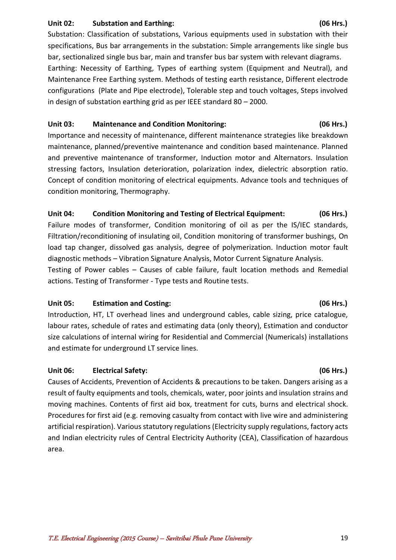### **Unit 02: Substation and Earthing: (06 Hrs.)**

Substation: Classification of substations, Various equipments used in substation with their specifications, Bus bar arrangements in the substation: Simple arrangements like single bus bar, sectionalized single bus bar, main and transfer bus bar system with relevant diagrams.

Earthing: Necessity of Earthing, Types of earthing system (Equipment and Neutral), and Maintenance Free Earthing system. Methods of testing earth resistance, Different electrode configurations (Plate and Pipe electrode), Tolerable step and touch voltages, Steps involved in design of substation earthing grid as per IEEE standard 80 – 2000.

## **Unit 03: Maintenance and Condition Monitoring: (06 Hrs.)**

Importance and necessity of maintenance, different maintenance strategies like breakdown maintenance, planned/preventive maintenance and condition based maintenance. Planned and preventive maintenance of transformer, Induction motor and Alternators. Insulation stressing factors, Insulation deterioration, polarization index, dielectric absorption ratio. Concept of condition monitoring of electrical equipments. Advance tools and techniques of condition monitoring, Thermography.

## **Unit 04: Condition Monitoring and Testing of Electrical Equipment: (06 Hrs.)**

Failure modes of transformer, Condition monitoring of oil as per the IS/IEC standards, Filtration/reconditioning of insulating oil, Condition monitoring of transformer bushings, On load tap changer, dissolved gas analysis, degree of polymerization. Induction motor fault diagnostic methods – Vibration Signature Analysis, Motor Current Signature Analysis. Testing of Power cables – Causes of cable failure, fault location methods and Remedial actions. Testing of Transformer - Type tests and Routine tests.

## **Unit 05: Estimation and Costing: (06 Hrs.)**

Introduction, HT, LT overhead lines and underground cables, cable sizing, price catalogue, labour rates, schedule of rates and estimating data (only theory), Estimation and conductor size calculations of internal wiring for Residential and Commercial (Numericals) installations and estimate for underground LT service lines.

## **Unit 06: Electrical Safety: (06 Hrs.)**

Causes of Accidents, Prevention of Accidents & precautions to be taken. Dangers arising as a result of faulty equipments and tools, chemicals, water, poor joints and insulation strains and moving machines. Contents of first aid box, treatment for cuts, burns and electrical shock. Procedures for first aid (e.g. removing casualty from contact with live wire and administering artificial respiration). Various statutory regulations (Electricity supply regulations, factory acts and Indian electricity rules of Central Electricity Authority (CEA), Classification of hazardous area.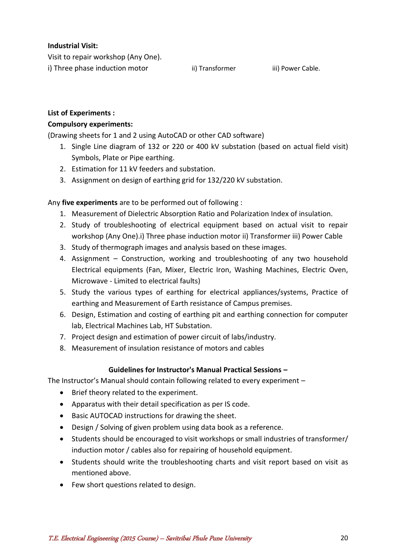## **Industrial Visit:**

Visit to repair workshop (Any One).

i) Three phase induction motor ii) Transformer iii) Power Cable.

## **List of Experiments :**

## **Compulsory experiments:**

(Drawing sheets for 1 and 2 using AutoCAD or other CAD software)

- 1. Single Line diagram of 132 or 220 or 400 kV substation (based on actual field visit) Symbols, Plate or Pipe earthing.
- 2. Estimation for 11 kV feeders and substation.
- 3. Assignment on design of earthing grid for 132/220 kV substation.

Any **five experiments** are to be performed out of following :

- 1. Measurement of Dielectric Absorption Ratio and Polarization Index of insulation.
- 2. Study of troubleshooting of electrical equipment based on actual visit to repair workshop (Any One).i) Three phase induction motor ii) Transformer iii) Power Cable
- 3. Study of thermograph images and analysis based on these images.
- 4. Assignment Construction, working and troubleshooting of any two household Electrical equipments (Fan, Mixer, Electric Iron, Washing Machines, Electric Oven, Microwave - Limited to electrical faults)
- 5. Study the various types of earthing for electrical appliances/systems, Practice of earthing and Measurement of Earth resistance of Campus premises.
- 6. Design, Estimation and costing of earthing pit and earthing connection for computer lab, Electrical Machines Lab, HT Substation.
- 7. Project design and estimation of power circuit of labs/industry.
- 8. Measurement of insulation resistance of motors and cables

## **Guidelines for Instructor's Manual Practical Sessions –**

The Instructor's Manual should contain following related to every experiment –

- Brief theory related to the experiment.
- Apparatus with their detail specification as per IS code.
- Basic AUTOCAD instructions for drawing the sheet.
- Design / Solving of given problem using data book as a reference.
- Students should be encouraged to visit workshops or small industries of transformer/ induction motor / cables also for repairing of household equipment.
- Students should write the troubleshooting charts and visit report based on visit as mentioned above.
- Few short questions related to design.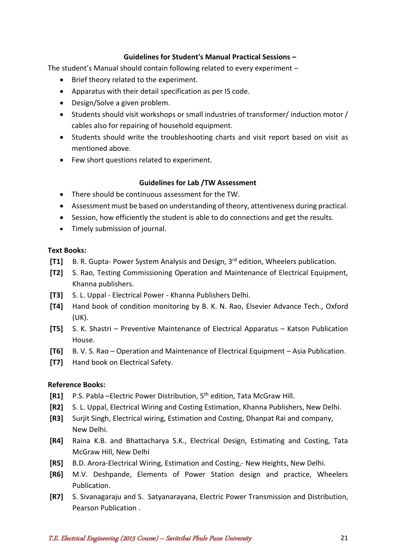### **Guidelines for Student's Manual Practical Sessions –**

The student's Manual should contain following related to every experiment –

- Brief theory related to the experiment.
- Apparatus with their detail specification as per IS code.
- Design/Solve a given problem.
- Students should visit workshops or small industries of transformer/ induction motor / cables also for repairing of household equipment.
- Students should write the troubleshooting charts and visit report based on visit as mentioned above.
- Few short questions related to experiment.

### **Guidelines for Lab /TW Assessment**

- There should be continuous assessment for the TW.
- Assessment must be based on understanding of theory, attentiveness during practical.
- Session, how efficiently the student is able to do connections and get the results.
- Timely submission of journal.

#### **Text Books:**

- **[T1]** B. R. Gupta- Power System Analysis and Design, 3<sup>rd</sup> edition, Wheelers publication.
- **[T2]** S. Rao, Testing Commissioning Operation and Maintenance of Electrical Equipment, Khanna publishers.
- **[T3]** S. L. Uppal Electrical Power Khanna Publishers Delhi.
- **[T4]** Hand book of condition monitoring by B. K. N. Rao, Elsevier Advance Tech., Oxford (UK).
- **[T5]** S. K. Shastri Preventive Maintenance of Electrical Apparatus Katson Publication House.
- **[T6]** B. V. S. Rao Operation and Maintenance of Electrical Equipment Asia Publication.
- **[T7]** Hand book on Electrical Safety.

#### **Reference Books:**

- **[R1]** P.S. Pabla –Electric Power Distribution, 5th edition, Tata McGraw Hill.
- **[R2]** S. L. Uppal, Electrical Wiring and Costing Estimation, Khanna Publishers, New Delhi.
- **[R3]** Surjit Singh, Electrical wiring, Estimation and Costing, Dhanpat Rai and company, New Delhi.
- **[R4]** Raina K.B. and Bhattacharya S.K., Electrical Design, Estimating and Costing, Tata McGraw Hill, New Delhi
- **[R5]** B.D. Arora-Electrical Wiring, Estimation and Costing,- New Heights, New Delhi.
- **[R6]** M.V. Deshpande, Elements of Power Station design and practice, Wheelers Publication.
- **[R7]** S. Sivanagaraju and S. Satyanarayana, Electric Power Transmission and Distribution, Pearson Publication .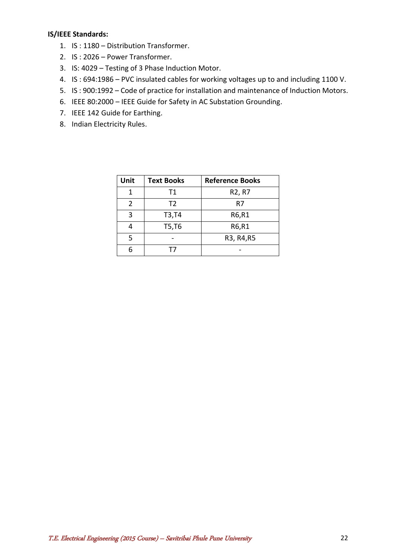#### **IS/IEEE Standards:**

- 1. IS : 1180 Distribution Transformer.
- 2. IS : 2026 Power Transformer.
- 3. IS: 4029 Testing of 3 Phase Induction Motor.
- 4. IS : 694:1986 PVC insulated cables for working voltages up to and including 1100 V.
- 5. IS : 900:1992 Code of practice for installation and maintenance of Induction Motors.
- 6. IEEE 80:2000 IEEE Guide for Safety in AC Substation Grounding.
- 7. IEEE 142 Guide for Earthing.
- 8. Indian Electricity Rules.

<span id="page-21-0"></span>

| Unit | <b>Text Books</b> | <b>Reference Books</b>          |
|------|-------------------|---------------------------------|
| 1    | Τ1                | R <sub>2</sub> , R <sub>7</sub> |
| 2    | T <sub>2</sub>    | R7                              |
| ζ    | T3,T4             | R6,R1                           |
|      | T5,T6             | R6,R1                           |
| 5    |                   | R3, R4, R5                      |
|      | I /               |                                 |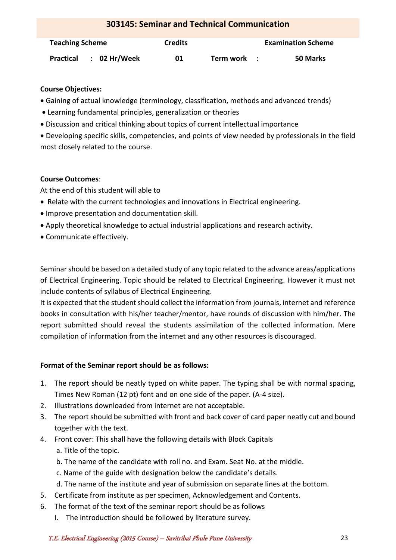| <b>303145: Seminar and Technical Communication</b> |                |             |  |                           |
|----------------------------------------------------|----------------|-------------|--|---------------------------|
| <b>Teaching Scheme</b>                             | <b>Credits</b> |             |  | <b>Examination Scheme</b> |
| $: 02$ Hr/Week<br>Practical                        | 01             | Term work : |  | 50 Marks                  |

## **Course Objectives:**

- Gaining of actual knowledge (terminology, classification, methods and advanced trends)
- Learning fundamental principles, generalization or theories
- Discussion and critical thinking about topics of current intellectual importance
- Developing specific skills, competencies, and points of view needed by professionals in the field most closely related to the course.

## **Course Outcomes**:

At the end of this student will able to

- Relate with the current technologies and innovations in Electrical engineering.
- Improve presentation and documentation skill.
- Apply theoretical knowledge to actual industrial applications and research activity.
- Communicate effectively.

Seminar should be based on a detailed study of any topic related to the advance areas/applications of Electrical Engineering. Topic should be related to Electrical Engineering. However it must not include contents of syllabus of Electrical Engineering.

It is expected that the student should collect the information from journals, internet and reference books in consultation with his/her teacher/mentor, have rounds of discussion with him/her. The report submitted should reveal the students assimilation of the collected information. Mere compilation of information from the internet and any other resources is discouraged.

## **Format of the Seminar report should be as follows:**

- 1. The report should be neatly typed on white paper. The typing shall be with normal spacing, Times New Roman (12 pt) font and on one side of the paper. (A-4 size).
- 2. Illustrations downloaded from internet are not acceptable.
- 3. The report should be submitted with front and back cover of card paper neatly cut and bound together with the text.
- 4. Front cover: This shall have the following details with Block Capitals
	- a. Title of the topic.
	- b. The name of the candidate with roll no. and Exam. Seat No. at the middle.
	- c. Name of the guide with designation below the candidate's details.
	- d. The name of the institute and year of submission on separate lines at the bottom.
- 5. Certificate from institute as per specimen, Acknowledgement and Contents.
- 6. The format of the text of the seminar report should be as follows
	- I. The introduction should be followed by literature survey.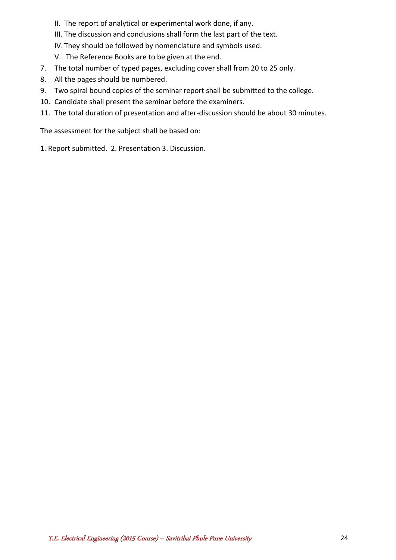- II. The report of analytical or experimental work done, if any.
- III. The discussion and conclusions shall form the last part of the text.
- IV. They should be followed by nomenclature and symbols used.
- V. The Reference Books are to be given at the end.
- 7. The total number of typed pages, excluding cover shall from 20 to 25 only.
- 8. All the pages should be numbered.
- 9. Two spiral bound copies of the seminar report shall be submitted to the college.
- 10. Candidate shall present the seminar before the examiners.
- 11. The total duration of presentation and after-discussion should be about 30 minutes.

The assessment for the subject shall be based on:

1. Report submitted. 2. Presentation 3. Discussion.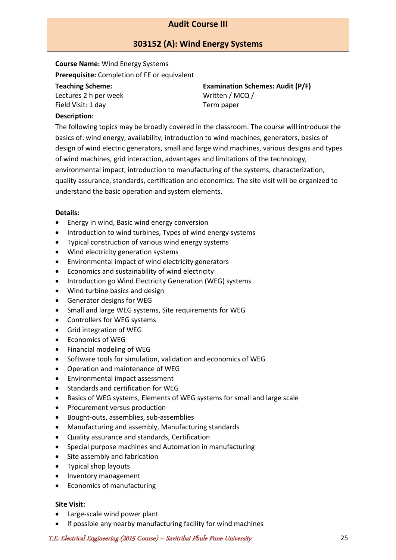## **Audit Course III**

## **303152 (A): Wind Energy Systems**

<span id="page-24-0"></span>**Course Name:** Wind Energy Systems **Prerequisite:** Completion of FE or equivalent

#### **Teaching Scheme:**

Lectures 2 h per week Field Visit: 1 day

**Examination Schemes: Audit (P/F)** Written / MCQ / Term paper

#### **Description:**

The following topics may be broadly covered in the classroom. The course will introduce the basics of: wind energy, availability, introduction to wind machines, generators, basics of design of wind electric generators, small and large wind machines, various designs and types of wind machines, grid interaction, advantages and limitations of the technology, environmental impact, introduction to manufacturing of the systems, characterization, quality assurance, standards, certification and economics. The site visit will be organized to understand the basic operation and system elements.

#### **Details:**

- Energy in wind, Basic wind energy conversion
- Introduction to wind turbines, Types of wind energy systems
- Typical construction of various wind energy systems
- Wind electricity generation systems
- Environmental impact of wind electricity generators
- Economics and sustainability of wind electricity
- Introduction go Wind Electricity Generation (WEG) systems
- Wind turbine basics and design
- Generator designs for WEG
- Small and large WEG systems, Site requirements for WEG
- Controllers for WEG systems
- Grid integration of WEG
- Economics of WEG
- Financial modeling of WEG
- Software tools for simulation, validation and economics of WEG
- Operation and maintenance of WEG
- Environmental impact assessment
- Standards and certification for WEG
- Basics of WEG systems, Elements of WEG systems for small and large scale
- Procurement versus production
- Bought-outs, assemblies, sub-assemblies
- Manufacturing and assembly, Manufacturing standards
- Quality assurance and standards, Certification
- Special purpose machines and Automation in manufacturing
- Site assembly and fabrication
- Typical shop layouts
- Inventory management
- Economics of manufacturing

#### **Site Visit:**

- Large-scale wind power plant
- If possible any nearby manufacturing facility for wind machines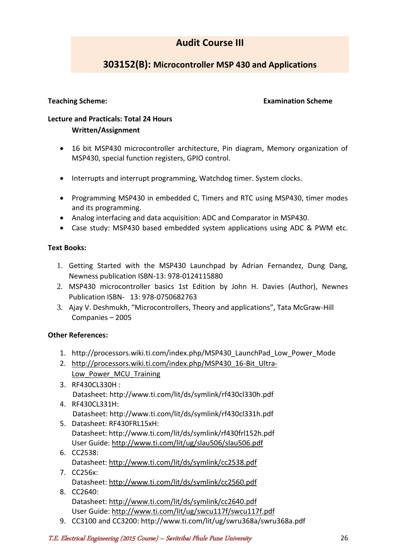## **Audit Course III**

## **303152(B): Microcontroller MSP 430 and Applications**

#### **Teaching Scheme: Examination Scheme**

## **Lecture and Practicals: Total 24 Hours Written/Assignment**

- 16 bit MSP430 microcontroller architecture, Pin diagram, Memory organization of MSP430, special function registers, GPIO control.
- Interrupts and interrupt programming, Watchdog timer. System clocks.
- Programming MSP430 in embedded C, Timers and RTC using MSP430, timer modes and its programming.
- Analog interfacing and data acquisition: ADC and Comparator in MSP430.
- Case study: MSP430 based embedded system applications using ADC & PWM etc.

### **Text Books:**

- 1. Getting Started with the MSP430 Launchpad by Adrian Fernandez, Dung Dang, Newness publication ISBN-13: 978-0124115880
- 2. MSP430 microcontroller basics 1st Edition by John H. Davies (Author), Newnes Publication ISBN- 13: 978-0750682763
- 3. Ajay V. Deshmukh, "Microcontrollers, Theory and applications", Tata McGraw-Hill Companies – 2005

## **Other References:**

- 1. http://processors.wiki.ti.com/index.php/MSP430\_LaunchPad\_Low\_Power\_Mode
- 2. [http://processors.wiki.ti.com/index.php/MSP430\\_16-Bit\\_Ultra-](http://processors.wiki.ti.com/index.php/MSP430_16-Bit_Ultra-Low_Power_MCU_Training)Low Power MCU Training
- 3. RF430CL330H : Datasheet: http://www.ti.com/lit/ds/symlink/rf430cl330h.pdf
- 4. RF430CL331H: Datasheet: http://www.ti.com/lit/ds/symlink/rf430cl331h.pdf
- 5. Datasheet: RF430FRL15xH: Datasheet: http://www.ti.com/lit/ds/symlink/rf430frl152h.pdf User Guide:<http://www.ti.com/lit/ug/slau506/slau506.pdf>
- 6. CC2538: Datasheet:<http://www.ti.com/lit/ds/symlink/cc2538.pdf> 7. CC256x:
- Datasheet:<http://www.ti.com/lit/ds/symlink/cc2560.pdf>
- 8. CC2640: Datasheet:<http://www.ti.com/lit/ds/symlink/cc2640.pdf> User Guide:<http://www.ti.com/lit/ug/swcu117f/swcu117f.pdf>
- 9. CC3100 and CC3200: http://www.ti.com/lit/ug/swru368a/swru368a.pdf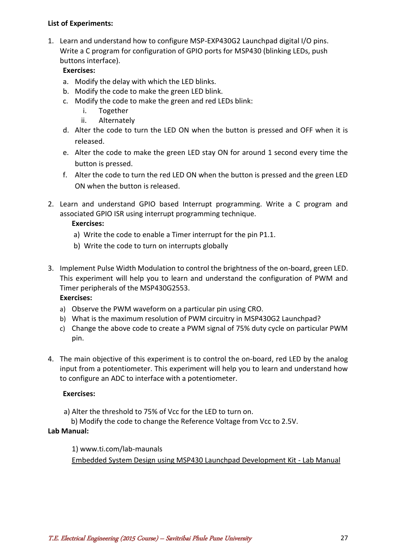### **List of Experiments:**

1. Learn and understand how to configure MSP-EXP430G2 Launchpad digital I/O pins. Write a C program for configuration of GPIO ports for MSP430 (blinking LEDs, push buttons interface).

## **Exercises:**

- a. Modify the delay with which the LED blinks.
- b. Modify the code to make the green LED blink.
- c. Modify the code to make the green and red LEDs blink:
	- i. Together
	- ii. Alternately
- d. Alter the code to turn the LED ON when the button is pressed and OFF when it is released.
- e. Alter the code to make the green LED stay ON for around 1 second every time the button is pressed.
- f. Alter the code to turn the red LED ON when the button is pressed and the green LED ON when the button is released.
- 2. Learn and understand GPIO based Interrupt programming. Write a C program and associated GPIO ISR using interrupt programming technique.

## **Exercises:**

- a) Write the code to enable a Timer interrupt for the pin P1.1.
- b) Write the code to turn on interrupts globally
- 3. Implement Pulse Width Modulation to control the brightness of the on-board, green LED. This experiment will help you to learn and understand the configuration of PWM and Timer peripherals of the MSP430G2553. **Exercises:**
	- a) Observe the PWM waveform on a particular pin using CRO.
	- b) What is the maximum resolution of PWM circuitry in MSP430G2 Launchpad?
	- c) Change the above code to create a PWM signal of 75% duty cycle on particular PWM pin.
- 4. The main objective of this experiment is to control the on-board, red LED by the analog input from a potentiometer. This experiment will help you to learn and understand how to configure an ADC to interface with a potentiometer.

## **Exercises:**

- a) Alter the threshold to 75% of Vcc for the LED to turn on.
- b) Modify the code to change the Reference Voltage from Vcc to 2.5V.

## **Lab Manual:**

## 1) www.ti.com/lab-maunals

[Embedded System Design using MSP430 Launchpad Development Kit -](http://bit.ly/28PBts4) Lab Manual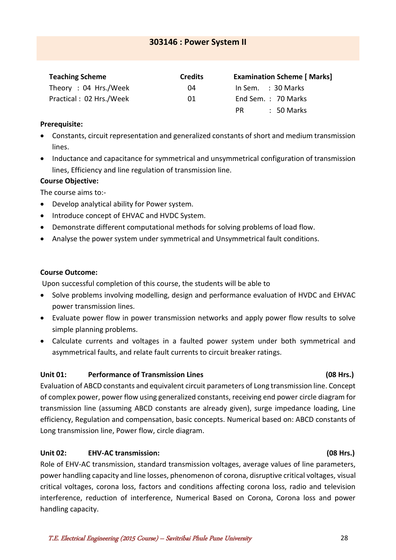## <span id="page-27-0"></span>**303146 : Power System II**

| <b>Teaching Scheme</b>  | <b>Credits</b> | <b>Examination Scheme [ Marks]</b> |
|-------------------------|----------------|------------------------------------|
| Theory: 04 Hrs./Week    | 04             | In Sem. $\therefore$ 30 Marks      |
| Practical: 02 Hrs./Week | 01             | End Sem.: 70 Marks                 |
|                         |                | $\therefore$ 50 Marks<br>PR        |

## **Prerequisite:**

- Constants, circuit representation and generalized constants of short and medium transmission lines.
- Inductance and capacitance for symmetrical and unsymmetrical configuration of transmission lines, Efficiency and line regulation of transmission line.

## **Course Objective:**

The course aims to:-

- Develop analytical ability for Power system.
- Introduce concept of EHVAC and HVDC System.
- Demonstrate different computational methods for solving problems of load flow.
- Analyse the power system under symmetrical and Unsymmetrical fault conditions.

## **Course Outcome:**

Upon successful completion of this course, the students will be able to

- Solve problems involving modelling, design and performance evaluation of HVDC and EHVAC power transmission lines.
- Evaluate power flow in power transmission networks and apply power flow results to solve simple planning problems.
- Calculate currents and voltages in a faulted power system under both symmetrical and asymmetrical faults, and relate fault currents to circuit breaker ratings.

## **Unit 01: Performance of Transmission Lines (08 Hrs.)**

Evaluation of ABCD constants and equivalent circuit parameters of Long transmission line. Concept of complex power, power flow using generalized constants, receiving end power circle diagram for transmission line (assuming ABCD constants are already given), surge impedance loading, Line efficiency, Regulation and compensation, basic concepts. Numerical based on: ABCD constants of Long transmission line, Power flow, circle diagram.

## **Unit 02: EHV-AC transmission: (08 Hrs.)**

Role of EHV-AC transmission, standard transmission voltages, average values of line parameters, power handling capacity and line losses, phenomenon of corona, disruptive critical voltages, visual critical voltages, corona loss, factors and conditions affecting corona loss, radio and television interference, reduction of interference, Numerical Based on Corona, Corona loss and power handling capacity.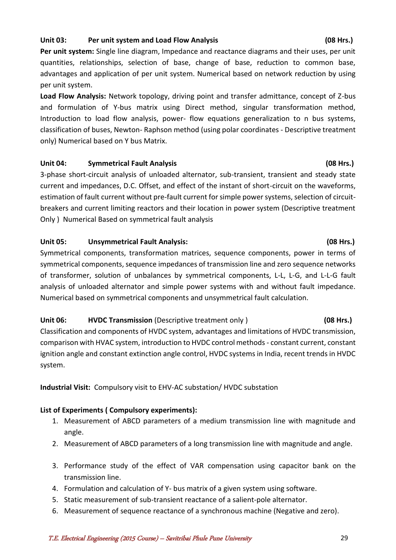## **Unit 03: Per unit system and Load Flow Analysis (08 Hrs.)**

**Per unit system:** Single line diagram, Impedance and reactance diagrams and their uses, per unit quantities, relationships, selection of base, change of base, reduction to common base, advantages and application of per unit system. Numerical based on network reduction by using per unit system.

**Load Flow Analysis:** Network topology, driving point and transfer admittance, concept of Z-bus and formulation of Y-bus matrix using Direct method, singular transformation method, Introduction to load flow analysis, power- flow equations generalization to n bus systems, classification of buses, Newton- Raphson method (using polar coordinates - Descriptive treatment only) Numerical based on Y bus Matrix.

## Unit 04: Symmetrical Fault Analysis **Constanting (08 Hrs.)**

3-phase short-circuit analysis of unloaded alternator, sub-transient, transient and steady state current and impedances, D.C. Offset, and effect of the instant of short-circuit on the waveforms, estimation of fault current without pre-fault current for simple power systems, selection of circuitbreakers and current limiting reactors and their location in power system (Descriptive treatment Only ) Numerical Based on symmetrical fault analysis

### **Unit 05: Unsymmetrical Fault Analysis: (08 Hrs.)**

Symmetrical components, transformation matrices, sequence components, power in terms of symmetrical components, sequence impedances of transmission line and zero sequence networks of transformer, solution of unbalances by symmetrical components, L-L, L-G, and L-L-G fault analysis of unloaded alternator and simple power systems with and without fault impedance. Numerical based on symmetrical components and unsymmetrical fault calculation.

## **Unit 06: HVDC Transmission** (Descriptive treatment only ) (08 Hrs.)

Classification and components of HVDC system, advantages and limitations of HVDC transmission, comparison with HVAC system, introduction to HVDC control methods - constant current, constant ignition angle and constant extinction angle control, HVDC systems in India, recent trends in HVDC system.

## **Industrial Visit:** Compulsory visit to EHV-AC substation/ HVDC substation

## **List of Experiments ( Compulsory experiments):**

- 1. Measurement of ABCD parameters of a medium transmission line with magnitude and angle.
- 2. Measurement of ABCD parameters of a long transmission line with magnitude and angle.
- 3. Performance study of the effect of VAR compensation using capacitor bank on the transmission line.
- 4. Formulation and calculation of Y- bus matrix of a given system using software.
- 5. Static measurement of sub-transient reactance of a salient-pole alternator.
- 6. Measurement of sequence reactance of a synchronous machine (Negative and zero).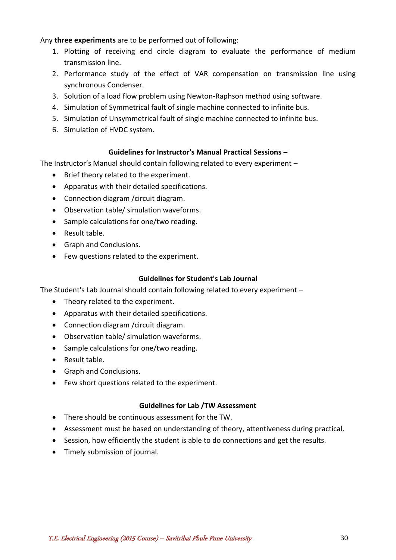### Any **three experiments** are to be performed out of following:

- 1. Plotting of receiving end circle diagram to evaluate the performance of medium transmission line.
- 2. Performance study of the effect of VAR compensation on transmission line using synchronous Condenser.
- 3. Solution of a load flow problem using Newton-Raphson method using software.
- 4. Simulation of Symmetrical fault of single machine connected to infinite bus.
- 5. Simulation of Unsymmetrical fault of single machine connected to infinite bus.
- 6. Simulation of HVDC system.

### **Guidelines for Instructor's Manual Practical Sessions –**

The Instructor's Manual should contain following related to every experiment –

- Brief theory related to the experiment.
- Apparatus with their detailed specifications.
- Connection diagram / circuit diagram.
- Observation table/ simulation waveforms.
- Sample calculations for one/two reading.
- Result table.
- Graph and Conclusions.
- Few questions related to the experiment.

## **Guidelines for Student's Lab Journal**

The Student's Lab Journal should contain following related to every experiment –

- Theory related to the experiment.
- Apparatus with their detailed specifications.
- Connection diagram / circuit diagram.
- Observation table/ simulation waveforms.
- Sample calculations for one/two reading.
- Result table.
- Graph and Conclusions.
- Few short questions related to the experiment.

## **Guidelines for Lab /TW Assessment**

- There should be continuous assessment for the TW.
- Assessment must be based on understanding of theory, attentiveness during practical.
- Session, how efficiently the student is able to do connections and get the results.
- Timely submission of journal.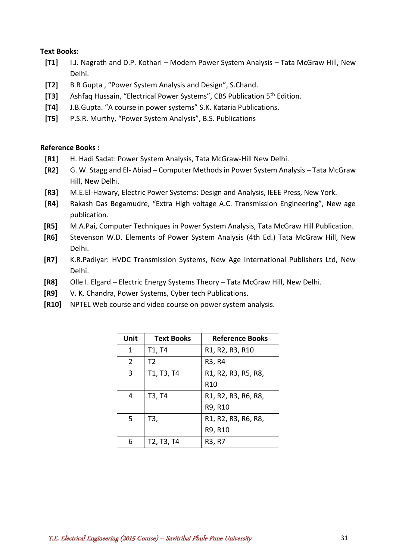#### **Text Books:**

- **[T1]** I.J. Nagrath and D.P. Kothari Modern Power System Analysis Tata McGraw Hill, New Delhi.
- **[T2]** B R Gupta , "Power System Analysis and Design", S.Chand.
- **[T3]** Ashfaq Hussain, "Electrical Power Systems", CBS Publication 5th Edition.
- **[T4]** J.B.Gupta. "A course in power systems" S.K. Kataria Publications.
- **[T5]** P.S.R. Murthy, "Power System Analysis", B.S. Publications

### **Reference Books :**

- **[R1]** H. Hadi Sadat: Power System Analysis, Tata McGraw-Hill New Delhi.
- **[R2]** G. W. Stagg and El- Abiad Computer Methods in Power System Analysis Tata McGraw Hill, New Delhi.
- **[R3]** M.E.El-Hawary, Electric Power Systems: Design and Analysis, IEEE Press, New York.
- **[R4]** Rakash Das Begamudre, "Extra High voltage A.C. Transmission Engineering", New age publication.
- **[R5]** M.A.Pai, Computer Techniques in Power System Analysis, Tata McGraw Hill Publication.
- **[R6]** Stevenson W.D. Elements of Power System Analysis (4th Ed.) Tata McGraw Hill, New Delhi.
- **[R7]** K.R.Padiyar: HVDC Transmission Systems, New Age International Publishers Ltd, New Delhi.
- **[R8]** Olle I. Elgard Electric Energy Systems Theory Tata McGraw Hill, New Delhi.
- **[R9]** V. K. Chandra, Power Systems, Cyber tech Publications.
- **[R10]** NPTEL Web course and video course on power system analysis.

| Unit | <b>Text Books</b>                                | <b>Reference Books</b> |
|------|--------------------------------------------------|------------------------|
| 1    | T1, T4                                           | R1, R2, R3, R10        |
| 2    | T <sub>2</sub>                                   | R3, R4                 |
| 3    | T1, T3, T4                                       | R1, R2, R3, R5, R8,    |
|      |                                                  | R <sub>10</sub>        |
| 4    | T3, T4                                           | R1, R2, R3, R6, R8,    |
|      |                                                  | R9, R10                |
| 5    | T3,                                              | R1, R2, R3, R6, R8,    |
|      |                                                  | R9, R10                |
| 6    | T <sub>2</sub> , T <sub>3</sub> , T <sub>4</sub> | R3, R7                 |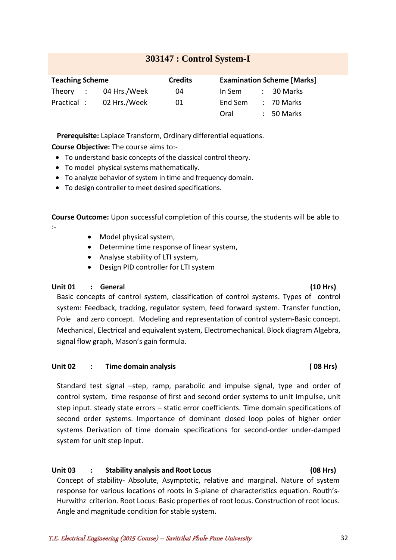## **303147 : Control System-I**

<span id="page-31-0"></span>

| <b>Teaching Scheme</b> |              | <b>Credits</b> |         | <b>Examination Scheme [Marks]</b> |
|------------------------|--------------|----------------|---------|-----------------------------------|
| Theory :               | 04 Hrs./Week | 04             | In Sem  | : 30 Marks                        |
| Practical :            | 02 Hrs./Week | 01             | End Sem | $: 70$ Marks                      |
|                        |              |                | Oral    | $: 50$ Marks                      |

**Prerequisite:** Laplace Transform, Ordinary differential equations.

**Course Objective:** The course aims to:-

- To understand basic concepts of the classical control theory.
- To model physical systems mathematically.
- To analyze behavior of system in time and frequency domain.
- To design controller to meet desired specifications.

**Course Outcome:** Upon successful completion of this course, the students will be able to :-

- Model physical system,
- Determine time response of linear system,
- Analyse stability of LTI system,
- Design PID controller for LTI system

## **Unit 01 : General (10 Hrs)**

Basic concepts of control system, classification of control systems. Types of control system: Feedback, tracking, regulator system, feed forward system. Transfer function, Pole and zero concept. Modeling and representation of control system-Basic concept. Mechanical, Electrical and equivalent system, Electromechanical. Block diagram Algebra, signal flow graph, Mason's gain formula.

#### **Unit 02 : Time domain analysis ( 08 Hrs)**

Standard test signal –step, ramp, parabolic and impulse signal, type and order of control system, time response of first and second order systems to unit impulse, unit step input. steady state errors – static error coefficients. Time domain specifications of second order systems. Importance of dominant closed loop poles of higher order systems Derivation of time domain specifications for second-order under-damped system for unit step input.

## **Unit 03 : Stability analysis and Root Locus (08 Hrs)**

Concept of stability- Absolute, Asymptotic, relative and marginal. Nature of system response for various locations of roots in S-plane of characteristics equation. Routh's-Hurwithz criterion. Root Locus: Basic properties of root locus. Construction of root locus. Angle and magnitude condition for stable system.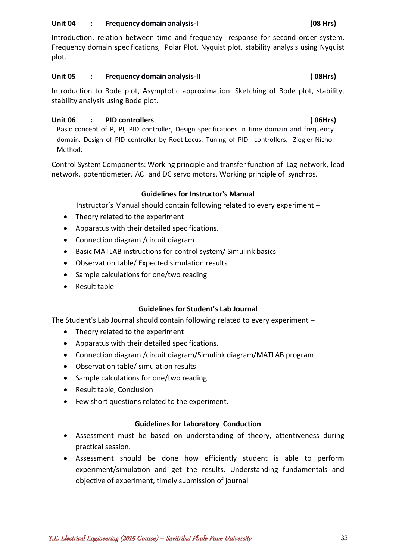#### **Unit 04 : Frequency domain analysis-I (08 Hrs)**

Introduction, relation between time and frequency response for second order system. Frequency domain specifications, Polar Plot, Nyquist plot, stability analysis using Nyquist plot.

### **Unit 05 : Frequency domain analysis-II ( 08Hrs)**

Introduction to Bode plot, Asymptotic approximation: Sketching of Bode plot, stability, stability analysis using Bode plot.

## **Unit 06 : PID controllers ( 06Hrs)**

Basic concept of P, PI, PID controller, Design specifications in time domain and frequency domain. Design of PID controller by Root-Locus. Tuning of PID controllers. Ziegler-Nichol Method.

Control System Components: Working principle and transfer function of Lag network, lead network, potentiometer, AC and DC servo motors. Working principle of synchros.

### **Guidelines for Instructor's Manual**

Instructor's Manual should contain following related to every experiment –

- Theory related to the experiment
- Apparatus with their detailed specifications.
- Connection diagram /circuit diagram
- Basic MATLAB instructions for control system/ Simulink basics
- Observation table/ Expected simulation results
- Sample calculations for one/two reading
- Result table

#### **Guidelines for Student's Lab Journal**

The Student's Lab Journal should contain following related to every experiment –

- Theory related to the experiment
- Apparatus with their detailed specifications.
- Connection diagram /circuit diagram/Simulink diagram/MATLAB program
- Observation table/ simulation results
- Sample calculations for one/two reading
- Result table, Conclusion
- Few short questions related to the experiment.

#### **Guidelines for Laboratory Conduction**

- Assessment must be based on understanding of theory, attentiveness during practical session.
- Assessment should be done how efficiently student is able to perform experiment/simulation and get the results. Understanding fundamentals and objective of experiment, timely submission of journal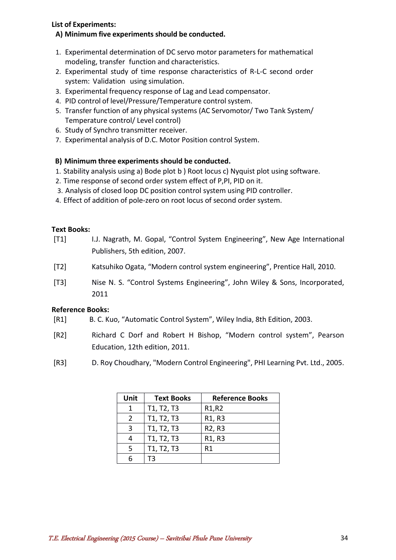#### **List of Experiments:**

### **A) Minimum five experiments should be conducted.**

- 1. Experimental determination of DC servo motor parameters for mathematical modeling, transfer function and characteristics.
- 2. Experimental study of time response characteristics of R-L-C second order system: Validation using simulation.
- 3. Experimental frequency response of Lag and Lead compensator.
- 4. PID control of level/Pressure/Temperature control system.
- 5. Transfer function of any physical systems (AC Servomotor/ Two Tank System/ Temperature control/ Level control)
- 6. Study of Synchro transmitter receiver.
- 7. Experimental analysis of D.C. Motor Position control System.

## **B) Minimum three experiments should be conducted.**

- 1. Stability analysis using a) Bode plot b ) Root locus c) Nyquist plot using software.
- 2. Time response of second order system effect of P,PI, PID on it.
- 3. Analysis of closed loop DC position control system using PID controller.
- 4. Effect of addition of pole-zero on root locus of second order system.

## **Text Books:**

- [T1] I.J. Nagrath, M. Gopal, "Control System Engineering", New Age International Publishers, 5th edition, 2007.
- [T2] Katsuhiko Ogata, "Modern control system engineering", Prentice Hall, 2010.
- [T3] Nise N. S. "Control Systems Engineering", John Wiley & Sons, Incorporated, 2011

## **Reference Books:**

- [R1] B. C. Kuo, "Automatic Control System", Wiley India, 8th Edition, 2003.
- [R2] Richard C Dorf and Robert H Bishop, "Modern control system", Pearson Education, 12th edition, 2011.
- [R3] D. Roy Choudhary, "Modern Control Engineering", PHI Learning Pvt. Ltd., 2005.

| Unit | <b>Text Books</b> | <b>Reference Books</b>          |
|------|-------------------|---------------------------------|
| 1    | T1, T2, T3        | R <sub>1</sub> ,R <sub>2</sub>  |
| 2    | T1, T2, T3        | R <sub>1</sub> , R <sub>3</sub> |
| 3    | T1, T2, T3        | R <sub>2</sub> , R <sub>3</sub> |
|      | T1, T2, T3        | R <sub>1</sub> , R <sub>3</sub> |
| 5    | T1, T2, T3        | R1                              |
|      | ΤЗ                |                                 |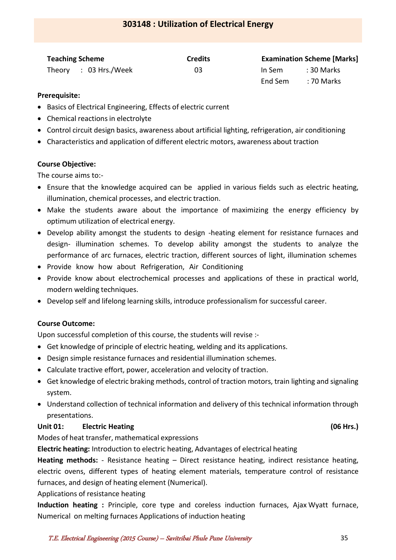## **303148 : Utilization of Electrical Energy**

<span id="page-34-0"></span>

| <b>Teaching Scheme</b> |                       | <b>Credits</b> | <b>Examination Scheme [Marks]</b> |                    |
|------------------------|-----------------------|----------------|-----------------------------------|--------------------|
|                        | Theory : 03 Hrs./Week | 03             | In Sem                            | : 30 Marks         |
|                        |                       |                |                                   | End Sem : 70 Marks |

#### **Prerequisite:**

- Basics of Electrical Engineering, Effects of electric current
- Chemical reactions in electrolyte
- Control circuit design basics, awareness about artificial lighting, refrigeration, air conditioning
- Characteristics and application of different electric motors, awareness about traction

### **Course Objective:**

The course aims to:-

- Ensure that the knowledge acquired can be applied in various fields such as electric heating, illumination, chemical processes, and electric traction.
- Make the students aware about the importance of maximizing the energy efficiency by optimum utilization of electrical energy.
- Develop ability amongst the students to design -heating element for resistance furnaces and design- illumination schemes. To develop ability amongst the students to analyze the performance of arc furnaces, electric traction, different sources of light, illumination schemes
- Provide know how about Refrigeration, Air Conditioning
- Provide know about electrochemical processes and applications of these in practical world, modern welding techniques.
- Develop self and lifelong learning skills, introduce professionalism for successful career.

## **Course Outcome:**

Upon successful completion of this course, the students will revise :-

- Get knowledge of principle of electric heating, welding and its applications.
- Design simple resistance furnaces and residential illumination schemes.
- Calculate tractive effort, power, acceleration and velocity of traction.
- Get knowledge of electric braking methods, control of traction motors, train lighting and signaling system.
- Understand collection of technical information and delivery of this technical information through presentations.

## **Unit 01: Electric Heating (06 Hrs.)**

Modes of heat transfer, mathematical expressions

**Electric heating:** Introduction to electric heating, Advantages of electrical heating

**Heating methods:** - Resistance heating – Direct resistance heating, indirect resistance heating, electric ovens, different types of heating element materials, temperature control of resistance furnaces, and design of heating element (Numerical).

Applications of resistance heating

**Induction heating :** Principle, core type and coreless induction furnaces, Ajax Wyatt furnace, Numerical on melting furnaces Applications of induction heating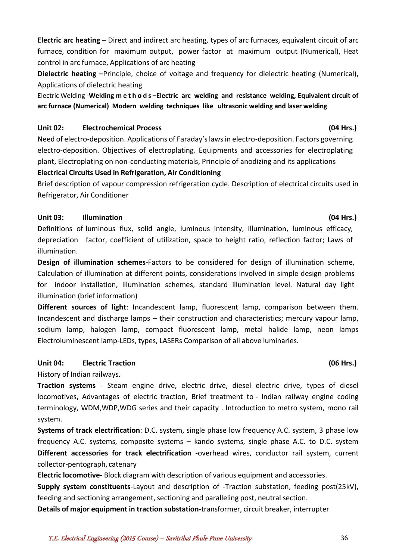**Electric arc heating** – Direct and indirect arc heating, types of arc furnaces, equivalent circuit of arc furnace, condition for maximum output, power factor at maximum output (Numerical), Heat control in arc furnace, Applications of arc heating

**Dielectric heating –**Principle, choice of voltage and frequency for dielectric heating (Numerical), Applications of dielectric heating

Electric Welding -**Welding m e t h o d s –Electric arc welding and resistance welding, Equivalent circuit of arc furnace (Numerical) Modern welding techniques like ultrasonic welding and laser welding**

## **Unit 02: Electrochemical Process (04 Hrs.)**

Need of electro-deposition. Applications of Faraday's laws in electro-deposition. Factors governing electro-deposition. Objectives of electroplating. Equipments and accessories for electroplating plant, Electroplating on non-conducting materials, Principle of anodizing and its applications

## **Electrical Circuits Used in Refrigeration, Air Conditioning**

Brief description of vapour compression refrigeration cycle. Description of electrical circuits used in Refrigerator, Air Conditioner

## **Unit 03: Illumination (04 Hrs.)**

Definitions of luminous flux, solid angle, luminous intensity, illumination, luminous efficacy, depreciation factor, coefficient of utilization, space to height ratio, reflection factor; Laws of illumination.

**Design of illumination schemes**-Factors to be considered for design of illumination scheme, Calculation of illumination at different points, considerations involved in simple design problems for indoor installation, illumination schemes, standard illumination level. Natural day light illumination (brief information)

**Different sources of light**: Incandescent lamp, fluorescent lamp, comparison between them. Incandescent and discharge lamps – their construction and characteristics; mercury vapour lamp, sodium lamp, halogen lamp, compact fluorescent lamp, metal halide lamp, neon lamps Electroluminescent lamp-LEDs, types, LASERs Comparison of all above luminaries.

## **Unit 04: Electric Traction (06 Hrs.)**

History of Indian railways.

**Traction systems** - Steam engine drive, electric drive, diesel electric drive, types of diesel locomotives, Advantages of electric traction, Brief treatment to - Indian railway engine coding terminology, WDM,WDP,WDG series and their capacity . Introduction to metro system, mono rail system.

**Systems of track electrification**: D.C. system, single phase low frequency A.C. system, 3 phase low frequency A.C. systems, composite systems – kando systems, single phase A.C. to D.C. system **Different accessories for track electrification** -overhead wires, conductor rail system, current collector-pentograph, catenary

**Electric locomotive-** Block diagram with description of various equipment and accessories.

**Supply system constituents**-Layout and description of -Traction substation, feeding post(25kV), feeding and sectioning arrangement, sectioning and paralleling post, neutral section.

**Details of major equipment in traction substation**-transformer, circuit breaker, interrupter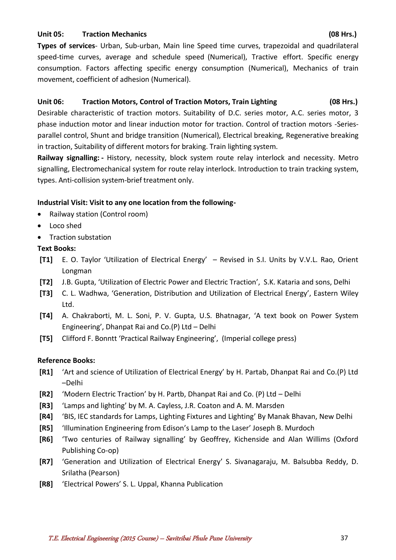### **Unit 05: Traction Mechanics (08 Hrs.)**

**Types of services**- Urban, Sub-urban, Main line Speed time curves, trapezoidal and quadrilateral speed-time curves, average and schedule speed (Numerical), Tractive effort. Specific energy consumption. Factors affecting specific energy consumption (Numerical), Mechanics of train movement, coefficient of adhesion (Numerical).

## **Unit 06: Traction Motors, Control of Traction Motors, Train Lighting (08 Hrs.)**

Desirable characteristic of traction motors. Suitability of D.C. series motor, A.C. series motor, 3 phase induction motor and linear induction motor for traction. Control of traction motors -Seriesparallel control, Shunt and bridge transition (Numerical), Electrical breaking, Regenerative breaking in traction, Suitability of different motors for braking. Train lighting system.

**Railway signalling: -** History, necessity, block system route relay interlock and necessity. Metro signalling, Electromechanical system for route relay interlock. Introduction to train tracking system, types. Anti-collision system-brief treatment only.

## **Industrial Visit: Visit to any one location from the following-**

- Railway station (Control room)
- Loco shed
- Traction substation

## **Text Books:**

- **[T1]** E. O. Taylor 'Utilization of Electrical Energy' Revised in S.I. Units by V.V.L. Rao, Orient Longman
- **[T2]** J.B. Gupta, 'Utilization of Electric Power and Electric Traction', S.K. Kataria and sons, Delhi
- **[T3]** C. L. Wadhwa, 'Generation, Distribution and Utilization of Electrical Energy', Eastern Wiley Ltd.
- **[T4]** A. Chakraborti, M. L. Soni, P. V. Gupta, U.S. Bhatnagar, 'A text book on Power System Engineering', Dhanpat Rai and Co.(P) Ltd – Delhi
- **[T5]** Clifford F. Bonntt 'Practical Railway Engineering', (Imperial college press)

## **Reference Books:**

- **[R1]** 'Art and science of Utilization of Electrical Energy' by H. Partab, Dhanpat Rai and Co.(P) Ltd –Delhi
- **[R2]** 'Modern Electric Traction' by H. Partb, Dhanpat Rai and Co. (P) Ltd Delhi
- **[R3]** 'Lamps and lighting' by M. A. Cayless, J.R. Coaton and A. M. Marsden
- **[R4]** 'BIS, IEC standards for Lamps, Lighting Fixtures and Lighting' By Manak Bhavan, New Delhi
- **[R5]** 'Illumination Engineering from Edison's Lamp to the Laser' Joseph B. Murdoch
- **[R6]** 'Two centuries of Railway signalling' by Geoffrey, Kichenside and Alan Willims (Oxford Publishing Co-op)
- **[R7]** 'Generation and Utilization of Electrical Energy' S. Sivanagaraju, M. Balsubba Reddy, D. Srilatha (Pearson)
- **[R8]** 'Electrical Powers' S. L. Uppal, Khanna Publication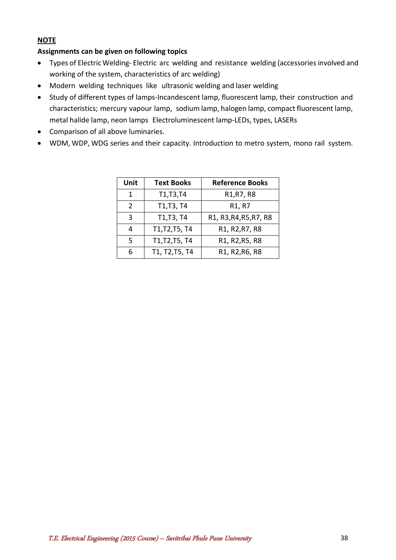## **NOTE**

## **Assignments can be given on following topics**

- Types of Electric Welding- Electric arc welding and resistance welding (accessories involved and working of the system, characteristics of arc welding)
- Modern welding techniques like ultrasonic welding and laser welding
- Study of different types of lamps-Incandescent lamp, fluorescent lamp, their construction and characteristics; mercury vapour lamp, sodium lamp, halogen lamp, compact fluorescent lamp, metal halide lamp, neon lamps Electroluminescent lamp-LEDs, types, LASERs
- Comparison of all above luminaries.
- WDM, WDP, WDG series and their capacity. Introduction to metro system, mono rail system.

| Unit          | <b>Text Books</b> | <b>Reference Books</b>          |
|---------------|-------------------|---------------------------------|
| 1             | T1, T3, T4        | R1, R7, R8                      |
| $\mathcal{P}$ | T1, T3, T4        | R <sub>1</sub> , R <sub>7</sub> |
| 3             | T1, T3, T4        | R1, R3, R4, R5, R7, R8          |
| 4             | T1, T2, T5, T4    | R1, R2, R7, R8                  |
| 5             | T1, T2, T5, T4    | R1, R2, R5, R8                  |
| հ             | T1, T2, T5, T4    | R1, R2, R6, R8                  |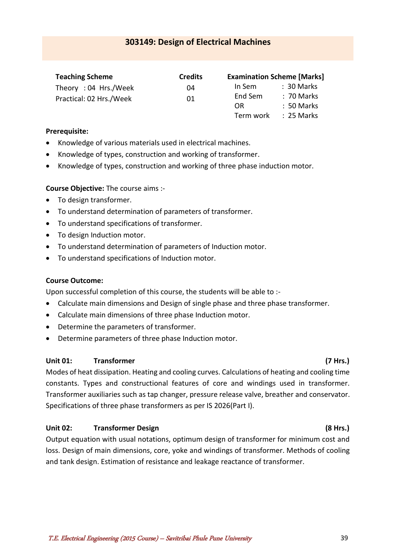<span id="page-38-0"></span>

| <b>Teaching Scheme</b>  | <b>Credits</b> |           | <b>Examination Scheme [Marks]</b> |
|-------------------------|----------------|-----------|-----------------------------------|
| Theory: 04 Hrs./Week    | 04             | In Sem    | $: 30$ Marks                      |
| Practical: 02 Hrs./Week | 01             | End Sem   | : 70 Marks                        |
|                         |                | 0R        | $: 50$ Marks                      |
|                         |                | Term work | :25 Marks                         |

#### **Prerequisite:**

- Knowledge of various materials used in electrical machines.
- Knowledge of types, construction and working of transformer.
- Knowledge of types, construction and working of three phase induction motor.

#### **Course Objective:** The course aims :-

- To design transformer.
- To understand determination of parameters of transformer.
- To understand specifications of transformer.
- To design Induction motor.
- To understand determination of parameters of Induction motor.
- To understand specifications of Induction motor.

#### **Course Outcome:**

Upon successful completion of this course, the students will be able to :-

- Calculate main dimensions and Design of single phase and three phase transformer.
- Calculate main dimensions of three phase Induction motor.
- Determine the parameters of transformer.
- Determine parameters of three phase Induction motor.

### Unit 01: Transformer (7 Hrs.)

## Modes of heat dissipation. Heating and cooling curves. Calculations of heating and cooling time constants. Types and constructional features of core and windings used in transformer. Transformer auxiliaries such as tap changer, pressure release valve, breather and conservator. Specifications of three phase transformers as per IS 2026(Part I).

## **Unit 02: Transformer Design (8 Hrs.)**

Output equation with usual notations, optimum design of transformer for minimum cost and loss. Design of main dimensions, core, yoke and windings of transformer. Methods of cooling and tank design. Estimation of resistance and leakage reactance of transformer.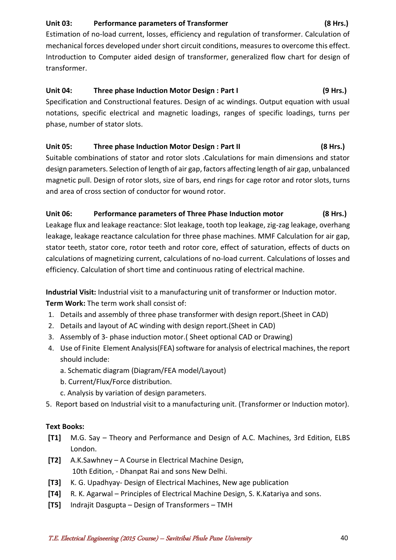## **Unit 03: Performance parameters of Transformer (8 Hrs.)**

Estimation of no-load current, losses, efficiency and regulation of transformer. Calculation of mechanical forces developed under short circuit conditions, measures to overcome this effect. Introduction to Computer aided design of transformer, generalized flow chart for design of transformer.

## **Unit 04: Three phase Induction Motor Design : Part I (9 Hrs.)**

Specification and Constructional features. Design of ac windings. Output equation with usual notations, specific electrical and magnetic loadings, ranges of specific loadings, turns per phase, number of stator slots.

## **Unit 05: Three phase Induction Motor Design : Part II (8 Hrs.)**

Suitable combinations of stator and rotor slots .Calculations for main dimensions and stator design parameters. Selection of length of air gap, factors affecting length of air gap, unbalanced magnetic pull. Design of rotor slots, size of bars, end rings for cage rotor and rotor slots, turns and area of cross section of conductor for wound rotor.

## **Unit 06: Performance parameters of Three Phase Induction motor (8 Hrs.)**

Leakage flux and leakage reactance: Slot leakage, tooth top leakage, zig-zag leakage, overhang leakage, leakage reactance calculation for three phase machines. MMF Calculation for air gap, stator teeth, stator core, rotor teeth and rotor core, effect of saturation, effects of ducts on calculations of magnetizing current, calculations of no-load current. Calculations of losses and efficiency. Calculation of short time and continuous rating of electrical machine.

**Industrial Visit:** Industrial visit to a manufacturing unit of transformer or Induction motor. **Term Work:** The term work shall consist of:

- 1. Details and assembly of three phase transformer with design report.(Sheet in CAD)
- 2. Details and layout of AC winding with design report.(Sheet in CAD)
- 3. Assembly of 3- phase induction motor.( Sheet optional CAD or Drawing)
- 4. Use of Finite Element Analysis(FEA) software for analysis of electrical machines, the report should include:
	- a. Schematic diagram (Diagram/FEA model/Layout)
	- b. Current/Flux/Force distribution.
	- c. Analysis by variation of design parameters.
- 5. Report based on Industrial visit to a manufacturing unit. (Transformer or Induction motor).

## **Text Books:**

- **[T1]** M.G. Say Theory and Performance and Design of A.C. Machines, 3rd Edition, ELBS London.
- **[T2]** A.K.Sawhney A Course in Electrical Machine Design, 10th Edition, - Dhanpat Rai and sons New Delhi.
- **[T3]** K. G. Upadhyay- Design of Electrical Machines, New age publication
- **[T4]** R. K. Agarwal Principles of Electrical Machine Design, S. K.Katariya and sons.
- **[T5]** Indrajit Dasgupta Design of Transformers TMH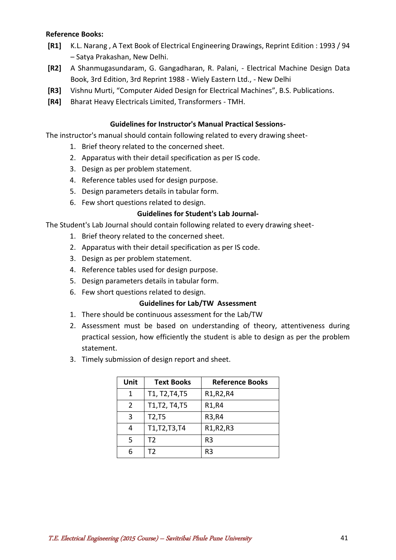### **Reference Books:**

- **[R1]** K.L. Narang , A Text Book of Electrical Engineering Drawings, Reprint Edition : 1993 / 94 – Satya Prakashan, New Delhi.
- **[R2]** A Shanmugasundaram, G. Gangadharan, R. Palani, Electrical Machine Design Data Book, 3rd Edition, 3rd Reprint 1988 - Wiely Eastern Ltd., - New Delhi
- **[R3]** Vishnu Murti, "Computer Aided Design for Electrical Machines", B.S. Publications.
- **[R4]** Bharat Heavy Electricals Limited, Transformers TMH.

### **Guidelines for Instructor's Manual Practical Sessions-**

The instructor's manual should contain following related to every drawing sheet-

- 1. Brief theory related to the concerned sheet.
- 2. Apparatus with their detail specification as per IS code.
- 3. Design as per problem statement.
- 4. Reference tables used for design purpose.
- 5. Design parameters details in tabular form.
- 6. Few short questions related to design.

### **Guidelines for Student's Lab Journal-**

The Student's Lab Journal should contain following related to every drawing sheet-

- 1. Brief theory related to the concerned sheet.
- 2. Apparatus with their detail specification as per IS code.
- 3. Design as per problem statement.
- 4. Reference tables used for design purpose.
- 5. Design parameters details in tabular form.
- 6. Few short questions related to design.

#### **Guidelines for Lab/TW Assessment**

- 1. There should be continuous assessment for the Lab/TW
- 2. Assessment must be based on understanding of theory, attentiveness during practical session, how efficiently the student is able to design as per the problem statement.
- 3. Timely submission of design report and sheet.

| Unit | <b>Text Books</b> | <b>Reference Books</b> |
|------|-------------------|------------------------|
| 1    | T1, T2, T4, T5    | R1, R2, R4             |
| 2    | T1, T2, T4, T5    | R1,R4                  |
| 3    | T2, T5            | R3, R4                 |
| 4    | T1, T2, T3, T4    | R1, R2, R3             |
| 5    | T2                | R <sub>3</sub>         |
| 6    | T2                | R <sub>3</sub>         |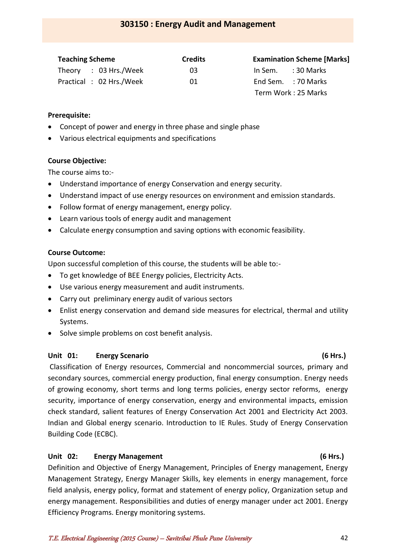## **303150 : Energy Audit and Management**

<span id="page-41-0"></span>

| <b>Teaching Scheme</b>  | <b>Credits</b> | <b>Examination Scheme [Marks]</b> |
|-------------------------|----------------|-----------------------------------|
| Theory : 03 Hrs./Week   | 03             | In Sem. $: 30$ Marks              |
| Practical: 02 Hrs./Week | -01            | End Sem. : 70 Marks               |
|                         |                | Term Work : 25 Marks              |

#### **Prerequisite:**

- Concept of power and energy in three phase and single phase
- Various electrical equipments and specifications

#### **Course Objective:**

The course aims to:-

- Understand importance of energy Conservation and energy security.
- Understand impact of use energy resources on environment and emission standards.
- Follow format of energy management, energy policy.
- Learn various tools of energy audit and management
- Calculate energy consumption and saving options with economic feasibility.

#### **Course Outcome:**

Upon successful completion of this course, the students will be able to:-

- To get knowledge of BEE Energy policies, Electricity Acts.
- Use various energy measurement and audit instruments.
- Carry out preliminary energy audit of various sectors
- Enlist energy conservation and demand side measures for electrical, thermal and utility Systems.
- Solve simple problems on cost benefit analysis.

#### **Unit 01: Energy Scenario (6 Hrs.)**

Classification of Energy resources, Commercial and noncommercial sources, primary and secondary sources, commercial energy production, final energy consumption. Energy needs of growing economy, short terms and long terms policies, energy sector reforms, energy security, importance of energy conservation, energy and environmental impacts, emission check standard, salient features of Energy Conservation Act 2001 and Electricity Act 2003. Indian and Global energy scenario. Introduction to IE Rules. Study of Energy Conservation Building Code (ECBC).

#### Unit 02: Energy Management **Containers** (6 Hrs.)

Definition and Objective of Energy Management, Principles of Energy management, Energy Management Strategy, Energy Manager Skills, key elements in energy management, force field analysis, energy policy, format and statement of energy policy, Organization setup and energy management. Responsibilities and duties of energy manager under act 2001. Energy Efficiency Programs. Energy monitoring systems.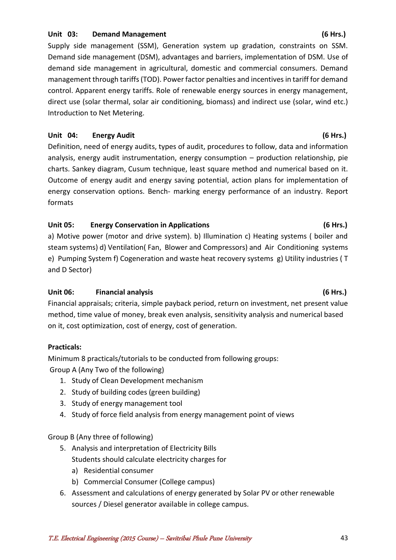### Unit 03: Demand Management (6 Hrs.)

Supply side management (SSM), Generation system up gradation, constraints on SSM. Demand side management (DSM), advantages and barriers, implementation of DSM. Use of demand side management in agricultural, domestic and commercial consumers. Demand management through tariffs (TOD). Power factor penalties and incentives in tariff for demand control. Apparent energy tariffs. Role of renewable energy sources in energy management, direct use (solar thermal, solar air conditioning, biomass) and indirect use (solar, wind etc.) Introduction to Net Metering.

### Unit 04: Energy Audit (6 Hrs.)

Definition, need of energy audits, types of audit, procedures to follow, data and information analysis, energy audit instrumentation, energy consumption – production relationship, pie charts. Sankey diagram, Cusum technique, least square method and numerical based on it. Outcome of energy audit and energy saving potential, action plans for implementation of energy conservation options. Bench- marking energy performance of an industry. Report formats

## **Unit 05: Energy Conservation in Applications (6 Hrs.)**

a) Motive power (motor and drive system). b) Illumination c) Heating systems ( boiler and steam systems) d) Ventilation( Fan, Blower and Compressors) and Air Conditioning systems e) Pumping System f) Cogeneration and waste heat recovery systems g) Utility industries ( T and D Sector)

## **Unit 06: Financial analysis (6 Hrs.)**

Financial appraisals; criteria, simple payback period, return on investment, net present value method, time value of money, break even analysis, sensitivity analysis and numerical based on it, cost optimization, cost of energy, cost of generation.

#### **Practicals:**

Minimum 8 practicals/tutorials to be conducted from following groups: Group A (Any Two of the following)

- 1. Study of Clean Development mechanism
- 2. Study of building codes (green building)
- 3. Study of energy management tool
- 4. Study of force field analysis from energy management point of views

Group B (Any three of following)

- 5. Analysis and interpretation of Electricity Bills Students should calculate electricity charges for
	- a) Residential consumer
	- b) Commercial Consumer (College campus)
- 6. Assessment and calculations of energy generated by Solar PV or other renewable sources / Diesel generator available in college campus.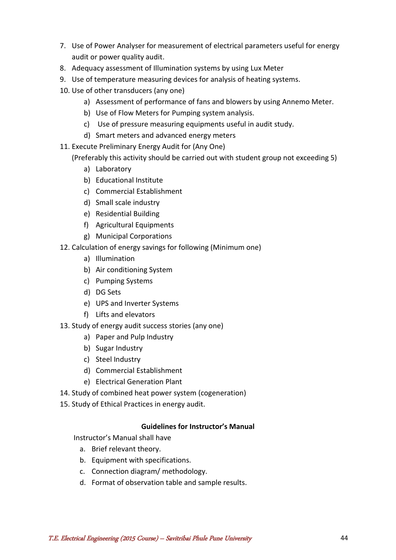- 7. Use of Power Analyser for measurement of electrical parameters useful for energy audit or power quality audit.
- 8. Adequacy assessment of Illumination systems by using Lux Meter
- 9. Use of temperature measuring devices for analysis of heating systems.
- 10. Use of other transducers (any one)
	- a) Assessment of performance of fans and blowers by using Annemo Meter.
	- b) Use of Flow Meters for Pumping system analysis.
	- c) Use of pressure measuring equipments useful in audit study.
	- d) Smart meters and advanced energy meters
- 11. Execute Preliminary Energy Audit for (Any One)

(Preferably this activity should be carried out with student group not exceeding 5)

- a) Laboratory
- b) Educational Institute
- c) Commercial Establishment
- d) Small scale industry
- e) Residential Building
- f) Agricultural Equipments
- g) Municipal Corporations
- 12. Calculation of energy savings for following (Minimum one)
	- a) Illumination
	- b) Air conditioning System
	- c) Pumping Systems
	- d) DG Sets
	- e) UPS and Inverter Systems
	- f) Lifts and elevators
- 13. Study of energy audit success stories (any one)
	- a) Paper and Pulp Industry
	- b) Sugar Industry
	- c) Steel Industry
	- d) Commercial Establishment
	- e) Electrical Generation Plant
- 14. Study of combined heat power system (cogeneration)
- 15. Study of Ethical Practices in energy audit.

## **Guidelines for Instructor's Manual**

Instructor's Manual shall have

- a. Brief relevant theory.
- b. Equipment with specifications.
- c. Connection diagram/ methodology.
- d. Format of observation table and sample results.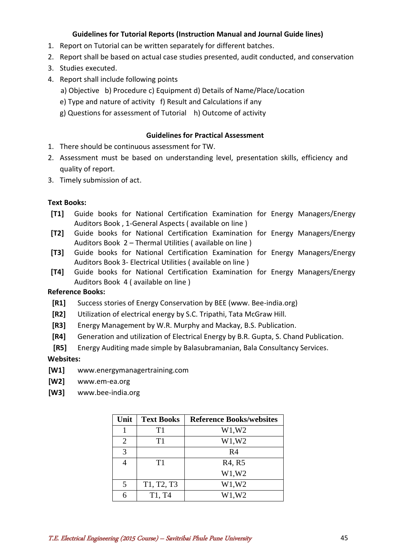### **Guidelines for Tutorial Reports (Instruction Manual and Journal Guide lines)**

- 1. Report on Tutorial can be written separately for different batches.
- 2. Report shall be based on actual case studies presented, audit conducted, and conservation
- 3. Studies executed.
- 4. Report shall include following points
	- a) Objective b) Procedure c) Equipment d) Details of Name/Place/Location
	- e) Type and nature of activity f) Result and Calculations if any
	- g) Questions for assessment of Tutorial h) Outcome of activity

### **Guidelines for Practical Assessment**

- 1. There should be continuous assessment for TW.
- 2. Assessment must be based on understanding level, presentation skills, efficiency and quality of report.
- 3. Timely submission of act.

#### **Text Books:**

- **[T1]** Guide books for National Certification Examination for Energy Managers/Energy Auditors Book , 1-General Aspects ( available on line )
- **[T2]** Guide books for National Certification Examination for Energy Managers/Energy Auditors Book 2 – Thermal Utilities ( available on line )
- **[T3]** Guide books for National Certification Examination for Energy Managers/Energy Auditors Book 3- Electrical Utilities ( available on line )
- **[T4]** Guide books for National Certification Examination for Energy Managers/Energy Auditors Book 4 ( available on line )

#### **Reference Books:**

- **[R1]** Success stories of Energy Conservation by BEE (www. Bee-india.org)
- **[R2]** Utilization of electrical energy by S.C. Tripathi, Tata McGraw Hill.
- **[R3]** Energy Management by W.R. Murphy and Mackay, B.S. Publication.
- **[R4]** Generation and utilization of Electrical Energy by B.R. Gupta, S. Chand Publication.
- **[R5]** Energy Auditing made simple by Balasubramanian, Bala Consultancy Services.

#### **Websites:**

- **[W1]** www.energymanagertraining.com
- **[W2]** www.em-ea.org
- **[W3]** www.bee-india.org

| Unit | <b>Text Books</b> | <b>Reference Books/websites</b> |
|------|-------------------|---------------------------------|
|      | T1                | W1, W2                          |
| 2    | T1                | W1, W2                          |
| 3    |                   | R4                              |
|      | T1                | R <sub>4</sub> , R <sub>5</sub> |
|      |                   | W1, W2                          |
| 5    | T1, T2, T3        | W1,W2                           |
|      | T1, T4            | W1,W2                           |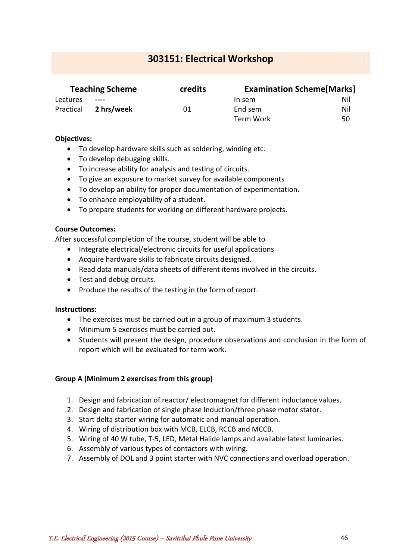## <span id="page-45-0"></span>**303151: Electrical Workshop**

| <b>Teaching Scheme</b> |            | credits | <b>Examination Scheme[Marks]</b> |     |
|------------------------|------------|---------|----------------------------------|-----|
| Lectures               | $\cdots$   |         | In sem                           | Nil |
| Practical              | 2 hrs/week | 01      | End sem                          | Nil |
|                        |            |         | Term Work                        | 50  |

#### **Objectives:**

- To develop hardware skills such as soldering, winding etc.
- To develop debugging skills.
- To increase ability for analysis and testing of circuits.
- To give an exposure to market survey for available components
- To develop an ability for proper documentation of experimentation.
- To enhance employability of a student.
- To prepare students for working on different hardware projects.

#### **Course Outcomes:**

After successful completion of the course, student will be able to

- Integrate electrical/electronic circuits for useful applications
- Acquire hardware skills to fabricate circuits designed.
- Read data manuals/data sheets of different items involved in the circuits.
- Test and debug circuits.
- Produce the results of the testing in the form of report.

#### **Instructions:**

- The exercises must be carried out in a group of maximum 3 students.
- Minimum 5 exercises must be carried out.
- Students will present the design, procedure observations and conclusion in the form of report which will be evaluated for term work.

#### **Group A (Minimum 2 exercises from this group)**

- 1. Design and fabrication of reactor/ electromagnet for different inductance values.
- 2. Design and fabrication of single phase Induction/three phase motor stator.
- 3. Start delta starter wiring for automatic and manual operation.
- 4. Wiring of distribution box with MCB, ELCB, RCCB and MCCB.
- 5. Wiring of 40 W tube, T-5, LED, Metal Halide lamps and available latest luminaries.
- 6. Assembly of various types of contactors with wiring.
- 7. Assembly of DOL and 3 point starter with NVC connections and overload operation.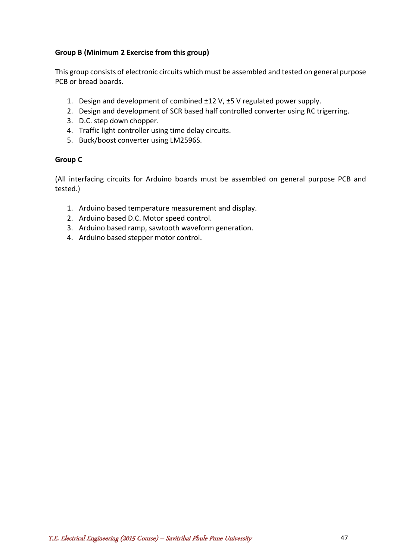## **Group B (Minimum 2 Exercise from this group)**

This group consists of electronic circuits which must be assembled and tested on general purpose PCB or bread boards.

- 1. Design and development of combined ±12 V, ±5 V regulated power supply.
- 2. Design and development of SCR based half controlled converter using RC trigerring.
- 3. D.C. step down chopper.
- 4. Traffic light controller using time delay circuits.
- 5. Buck/boost converter using LM2596S.

#### **Group C**

(All interfacing circuits for Arduino boards must be assembled on general purpose PCB and tested.)

- 1. Arduino based temperature measurement and display.
- 2. Arduino based D.C. Motor speed control.
- 3. Arduino based ramp, sawtooth waveform generation.
- 4. Arduino based stepper motor control.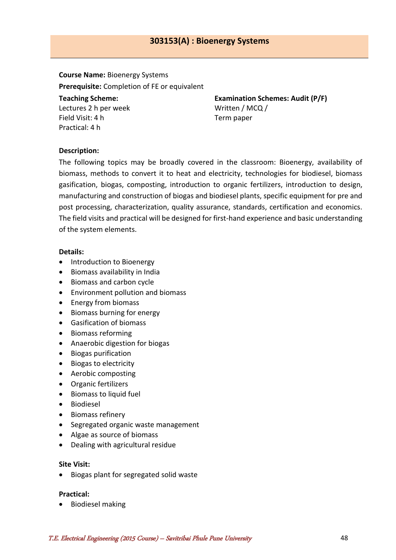## **303153(A) : Bioenergy Systems**

<span id="page-47-0"></span>**Course Name:** Bioenergy Systems **Prerequisite:** Completion of FE or equivalent **Teaching Scheme:** Lectures 2 h per week Field Visit: 4 h

**Examination Schemes: Audit (P/F)** Written / MCQ / Term paper

#### **Description:**

Practical: 4 h

The following topics may be broadly covered in the classroom: Bioenergy, availability of biomass, methods to convert it to heat and electricity, technologies for biodiesel, biomass gasification, biogas, composting, introduction to organic fertilizers, introduction to design, manufacturing and construction of biogas and biodiesel plants, specific equipment for pre and post processing, characterization, quality assurance, standards, certification and economics. The field visits and practical will be designed for first-hand experience and basic understanding of the system elements.

#### **Details:**

- Introduction to Bioenergy
- Biomass availability in India
- Biomass and carbon cycle
- Environment pollution and biomass
- Energy from biomass
- Biomass burning for energy
- Gasification of biomass
- Biomass reforming
- Anaerobic digestion for biogas
- Biogas purification
- Biogas to electricity
- Aerobic composting
- Organic fertilizers
- Biomass to liquid fuel
- **•** Biodiesel
- Biomass refinery
- Segregated organic waste management
- Algae as source of biomass
- Dealing with agricultural residue

#### **Site Visit:**

• Biogas plant for segregated solid waste

#### **Practical:**

• Biodiesel making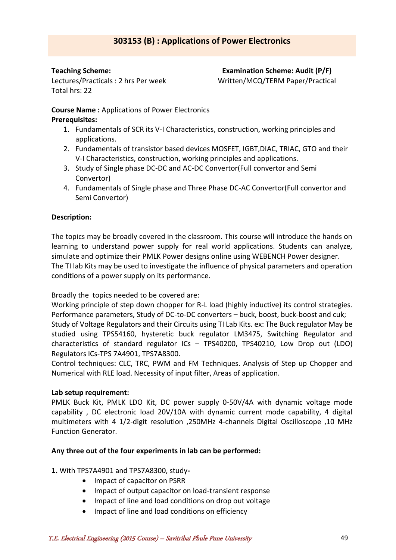### **Teaching Scheme:**

Lectures/Practicals : 2 hrs Per week Total hrs: 22

**Examination Scheme: Audit (P/F)** Written/MCQ/TERM Paper/Practical

## **Course Name :** Applications of Power Electronics

### **Prerequisites:**

- 1. Fundamentals of SCR its V-I Characteristics, construction, working principles and applications.
- 2. Fundamentals of transistor based devices MOSFET, IGBT,DIAC, TRIAC, GTO and their V-I Characteristics, construction, working principles and applications.
- 3. Study of Single phase DC-DC and AC-DC Convertor(Full convertor and Semi Convertor)
- 4. Fundamentals of Single phase and Three Phase DC-AC Convertor(Full convertor and Semi Convertor)

## **Description:**

The topics may be broadly covered in the classroom. This course will introduce the hands on learning to understand power supply for real world applications. Students can analyze, simulate and optimize their PMLK Power designs online using WEBENCH Power designer. The TI lab Kits may be used to investigate the influence of physical parameters and operation conditions of a power supply on its performance.

Broadly the topics needed to be covered are:

Working principle of step down chopper for R-L load (highly inductive) its control strategies. Performance parameters, Study of DC-to-DC converters – buck, boost, buck-boost and cuk; Study of Voltage Regulators and their Circuits using TI Lab Kits. ex: The Buck regulator May be studied using TPS54160, hysteretic buck regulator LM3475, Switching Regulator and characteristics of standard regulator ICs – TPS40200, TPS40210, Low Drop out (LDO) Regulators ICs-TPS 7A4901, TPS7A8300.

Control techniques: CLC, TRC, PWM and FM Techniques. Analysis of Step up Chopper and Numerical with RLE load. Necessity of input filter, Areas of application.

## **Lab setup requirement:**

PMLK Buck Kit, PMLK LDO Kit, DC power supply 0-50V/4A with dynamic voltage mode capability , DC electronic load 20V/10A with dynamic current mode capability, 4 digital multimeters with 4 1/2-digit resolution ,250MHz 4-channels Digital Oscilloscope ,10 MHz Function Generator.

## **Any three out of the four experiments in lab can be performed:**

## **1.** With TPS7A4901 and TPS7A8300, study**-**

- Impact of capacitor on PSRR
- Impact of output capacitor on load-transient response
- Impact of line and load conditions on drop out voltage
- Impact of line and load conditions on efficiency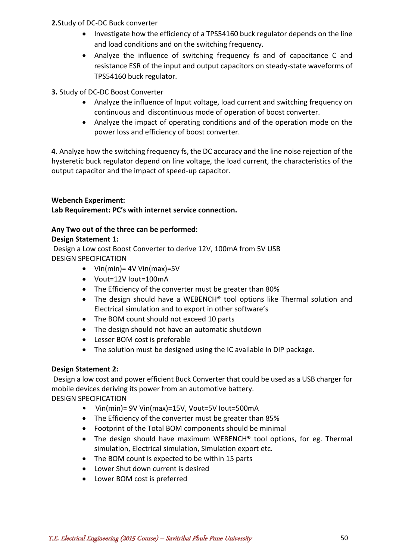## **2.**Study of DC-DC Buck converter

- Investigate how the efficiency of a TPS54160 buck regulator depends on the line and load conditions and on the switching frequency.
- Analyze the influence of switching frequency fs and of capacitance C and resistance ESR of the input and output capacitors on steady-state waveforms of TPS54160 buck regulator.
- **3.** Study of DC-DC Boost Converter
	- Analyze the influence of Input voltage, load current and switching frequency on continuous and discontinuous mode of operation of boost converter.
	- Analyze the impact of operating conditions and of the operation mode on the power loss and efficiency of boost converter.

**4.** Analyze how the switching frequency fs, the DC accuracy and the line noise rejection of the hysteretic buck regulator depend on line voltage, the load current, the characteristics of the output capacitor and the impact of speed-up capacitor.

#### **Webench Experiment: Lab Requirement: PC's with internet service connection.**

## **Any Two out of the three can be performed:**

## **Design Statement 1:**

Design a Low cost Boost Converter to derive 12V, 100mA from 5V USB DESIGN SPECIFICATION

- Vin(min) =  $4V$  Vin(max) =  $5V$
- Vout=12V Iout=100mA
- The Efficiency of the converter must be greater than 80%
- The design should have a WEBENCH® tool options like Thermal solution and Electrical simulation and to export in other software's
- The BOM count should not exceed 10 parts
- The design should not have an automatic shutdown
- Lesser BOM cost is preferable
- The solution must be designed using the IC available in DIP package.

## **Design Statement 2:**

Design a low cost and power efficient Buck Converter that could be used as a USB charger for mobile devices deriving its power from an automotive battery. DESIGN SPECIFICATION

- Vin(min)= 9V Vin(max)=15V, Vout=5V Iout=500mA
- The Efficiency of the converter must be greater than 85%
- Footprint of the Total BOM components should be minimal
- The design should have maximum WEBENCH<sup>®</sup> tool options, for eg. Thermal simulation, Electrical simulation, Simulation export etc.
- The BOM count is expected to be within 15 parts
- Lower Shut down current is desired
- Lower BOM cost is preferred